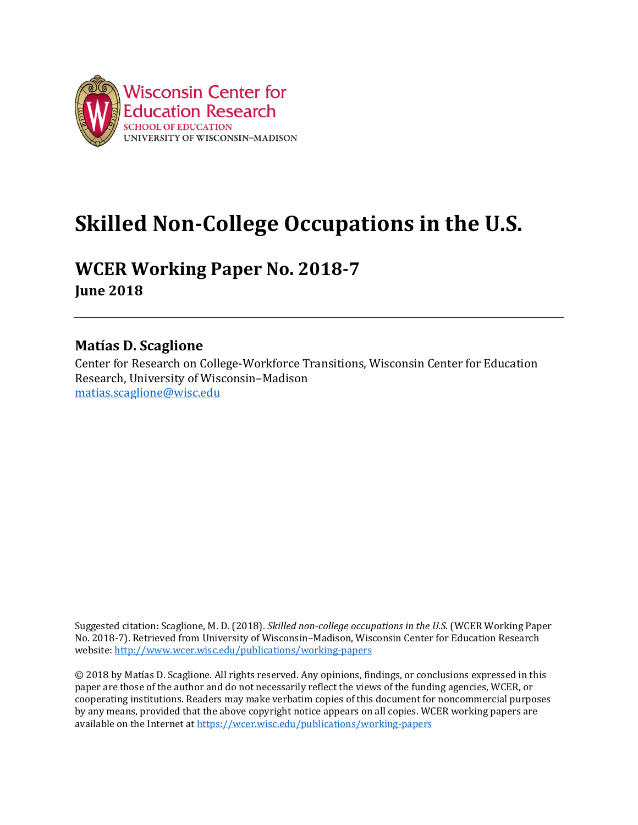

# **WCER Working Paper No. 2018-7**

**June 2018**

# **Matías D. Scaglione**

Center for Research on College-Workforce Transitions, Wisconsin Center for Education Research, University of Wisconsin–Madison [matias.scaglione@wisc.edu](mailto:matias.scaglione@wisc.edu)

Suggested citation: Scaglione, M. D. (2018). *Skilled non-college occupations in the U.S.* (WCER Working Paper No. 2018-7). Retrieved from University of Wisconsin–Madison, Wisconsin Center for Education Research website:<http://www.wcer.wisc.edu/publications/working-papers>

© 2018 by Matías D. Scaglione. All rights reserved. Any opinions, findings, or conclusions expressed in this paper are those of the author and do not necessarily reflect the views of the funding agencies, WCER, or cooperating institutions. Readers may make verbatim copies of this document for noncommercial purposes by any means, provided that the above copyright notice appears on all copies. WCER working papers are available on the Internet at<https://wcer.wisc.edu/publications/working-papers>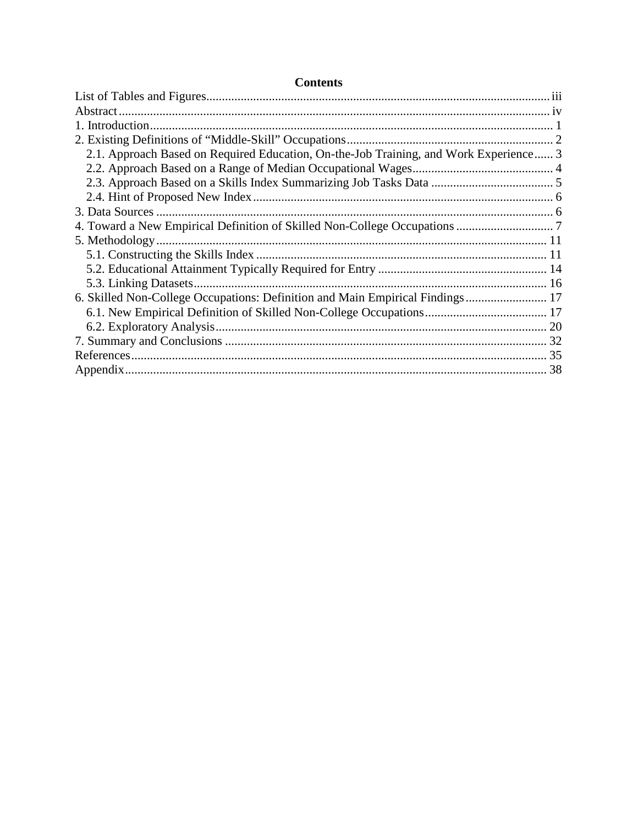| <b>Contents</b>                                                                       |  |
|---------------------------------------------------------------------------------------|--|
|                                                                                       |  |
|                                                                                       |  |
|                                                                                       |  |
|                                                                                       |  |
| 2.1. Approach Based on Required Education, On-the-Job Training, and Work Experience 3 |  |
|                                                                                       |  |
|                                                                                       |  |
|                                                                                       |  |
|                                                                                       |  |
|                                                                                       |  |
|                                                                                       |  |
|                                                                                       |  |
|                                                                                       |  |
|                                                                                       |  |
| 6. Skilled Non-College Occupations: Definition and Main Empirical Findings 17         |  |
|                                                                                       |  |
|                                                                                       |  |
|                                                                                       |  |
|                                                                                       |  |
|                                                                                       |  |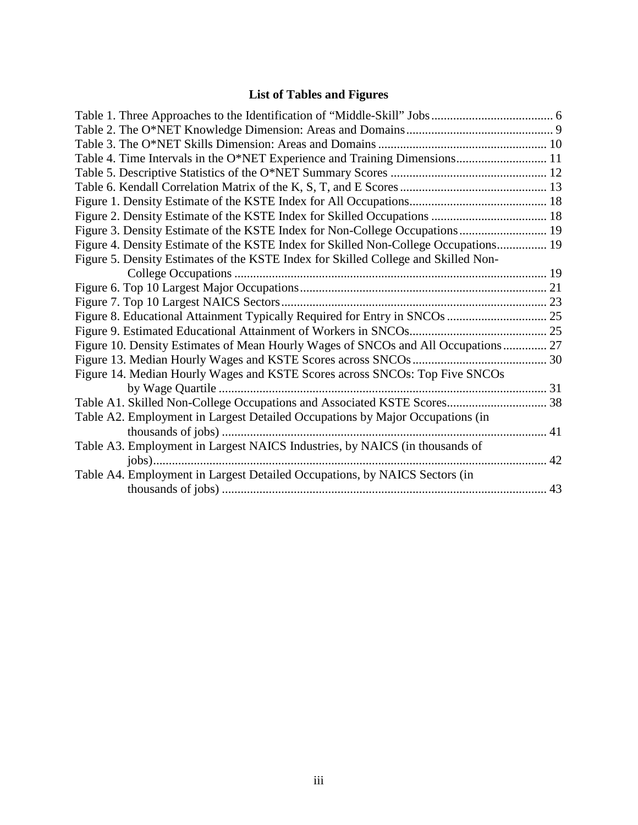# **List of Tables and Figures**

| Table 4. Time Intervals in the O*NET Experience and Training Dimensions 11          |  |
|-------------------------------------------------------------------------------------|--|
|                                                                                     |  |
|                                                                                     |  |
|                                                                                     |  |
|                                                                                     |  |
| Figure 3. Density Estimate of the KSTE Index for Non-College Occupations 19         |  |
| Figure 4. Density Estimate of the KSTE Index for Skilled Non-College Occupations 19 |  |
| Figure 5. Density Estimates of the KSTE Index for Skilled College and Skilled Non-  |  |
|                                                                                     |  |
|                                                                                     |  |
|                                                                                     |  |
|                                                                                     |  |
|                                                                                     |  |
| Figure 10. Density Estimates of Mean Hourly Wages of SNCOs and All Occupations 27   |  |
|                                                                                     |  |
| Figure 14. Median Hourly Wages and KSTE Scores across SNCOs: Top Five SNCOs         |  |
|                                                                                     |  |
| Table A1. Skilled Non-College Occupations and Associated KSTE Scores 38             |  |
| Table A2. Employment in Largest Detailed Occupations by Major Occupations (in       |  |
| . 41                                                                                |  |
| Table A3. Employment in Largest NAICS Industries, by NAICS (in thousands of         |  |
|                                                                                     |  |
| Table A4. Employment in Largest Detailed Occupations, by NAICS Sectors (in          |  |
|                                                                                     |  |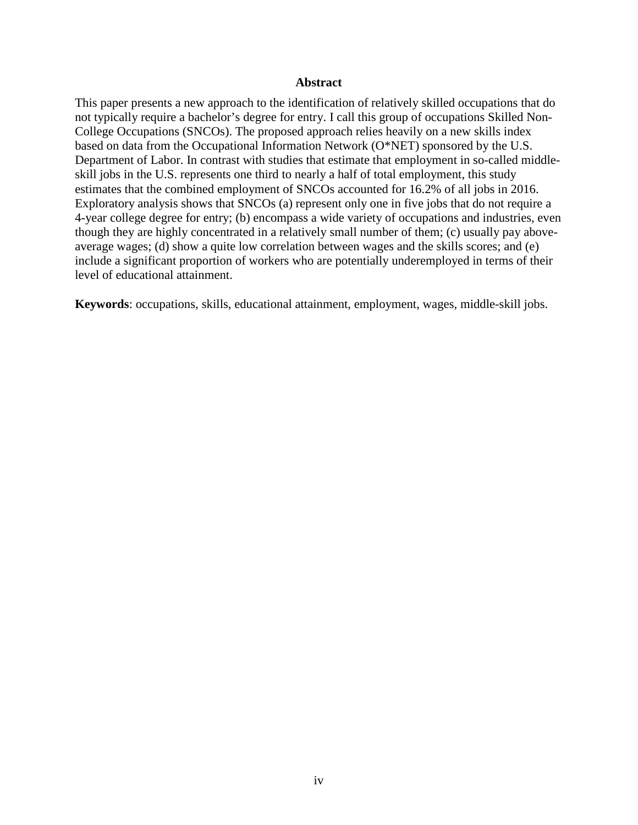#### **Abstract**

This paper presents a new approach to the identification of relatively skilled occupations that do not typically require a bachelor's degree for entry. I call this group of occupations Skilled Non-College Occupations (SNCOs). The proposed approach relies heavily on a new skills index based on data from the Occupational Information Network (O\*NET) sponsored by the U.S. Department of Labor. In contrast with studies that estimate that employment in so-called middleskill jobs in the U.S. represents one third to nearly a half of total employment, this study estimates that the combined employment of SNCOs accounted for 16.2% of all jobs in 2016. Exploratory analysis shows that SNCOs (a) represent only one in five jobs that do not require a 4-year college degree for entry; (b) encompass a wide variety of occupations and industries, even though they are highly concentrated in a relatively small number of them; (c) usually pay aboveaverage wages; (d) show a quite low correlation between wages and the skills scores; and (e) include a significant proportion of workers who are potentially underemployed in terms of their level of educational attainment.

**Keywords**: occupations, skills, educational attainment, employment, wages, middle-skill jobs.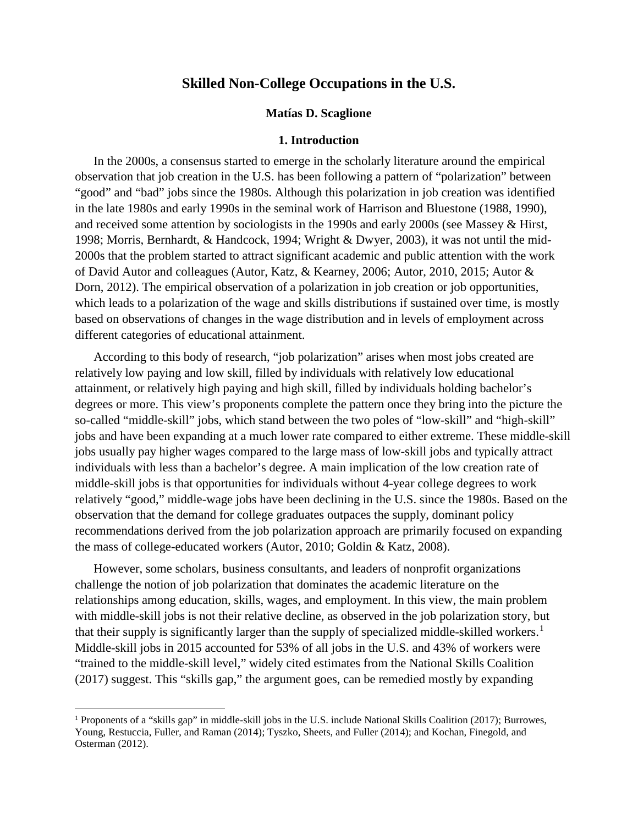#### **Matías D. Scaglione**

#### **1. Introduction**

In the 2000s, a consensus started to emerge in the scholarly literature around the empirical observation that job creation in the U.S. has been following a pattern of "polarization" between "good" and "bad" jobs since the 1980s. Although this polarization in job creation was identified in the late 1980s and early 1990s in the seminal work of Harrison and Bluestone (1988, 1990), and received some attention by sociologists in the 1990s and early 2000s (see Massey & Hirst, 1998; Morris, Bernhardt, & Handcock, 1994; Wright & Dwyer, 2003), it was not until the mid-2000s that the problem started to attract significant academic and public attention with the work of David Autor and colleagues (Autor, Katz, & Kearney, 2006; Autor, 2010, 2015; Autor & Dorn, 2012). The empirical observation of a polarization in job creation or job opportunities, which leads to a polarization of the wage and skills distributions if sustained over time, is mostly based on observations of changes in the wage distribution and in levels of employment across different categories of educational attainment.

According to this body of research, "job polarization" arises when most jobs created are relatively low paying and low skill, filled by individuals with relatively low educational attainment, or relatively high paying and high skill, filled by individuals holding bachelor's degrees or more. This view's proponents complete the pattern once they bring into the picture the so-called "middle-skill" jobs, which stand between the two poles of "low-skill" and "high-skill" jobs and have been expanding at a much lower rate compared to either extreme. These middle-skill jobs usually pay higher wages compared to the large mass of low-skill jobs and typically attract individuals with less than a bachelor's degree. A main implication of the low creation rate of middle-skill jobs is that opportunities for individuals without 4-year college degrees to work relatively "good," middle-wage jobs have been declining in the U.S. since the 1980s. Based on the observation that the demand for college graduates outpaces the supply, dominant policy recommendations derived from the job polarization approach are primarily focused on expanding the mass of college-educated workers (Autor, 2010; Goldin & Katz, 2008).

However, some scholars, business consultants, and leaders of nonprofit organizations challenge the notion of job polarization that dominates the academic literature on the relationships among education, skills, wages, and employment. In this view, the main problem with middle-skill jobs is not their relative decline, as observed in the job polarization story, but that their supply is significantly larger than the supply of specialized middle-skilled workers. [1](#page-4-0) Middle-skill jobs in 2015 accounted for 53% of all jobs in the U.S. and 43% of workers were "trained to the middle-skill level," widely cited estimates from the National Skills Coalition (2017) suggest. This "skills gap," the argument goes, can be remedied mostly by expanding

<span id="page-4-0"></span> <sup>1</sup> Proponents of a "skills gap" in middle-skill jobs in the U.S. include National Skills Coalition (2017); Burrowes, Young, Restuccia, Fuller, and Raman (2014); Tyszko, Sheets, and Fuller (2014); and Kochan, Finegold, and Osterman (2012).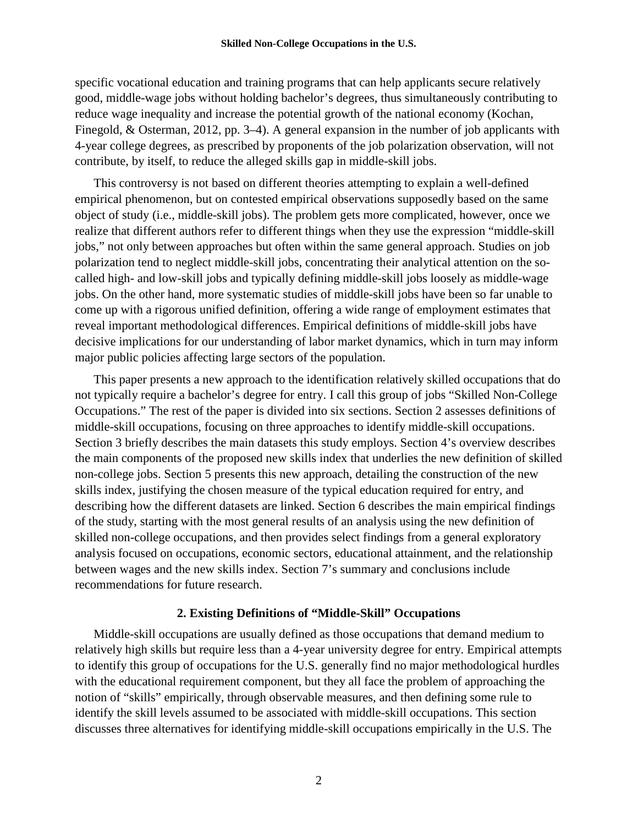specific vocational education and training programs that can help applicants secure relatively good, middle-wage jobs without holding bachelor's degrees, thus simultaneously contributing to reduce wage inequality and increase the potential growth of the national economy (Kochan, Finegold, & Osterman, 2012, pp. 3–4). A general expansion in the number of job applicants with 4-year college degrees, as prescribed by proponents of the job polarization observation, will not contribute, by itself, to reduce the alleged skills gap in middle-skill jobs.

This controversy is not based on different theories attempting to explain a well-defined empirical phenomenon, but on contested empirical observations supposedly based on the same object of study (i.e., middle-skill jobs). The problem gets more complicated, however, once we realize that different authors refer to different things when they use the expression "middle-skill jobs," not only between approaches but often within the same general approach. Studies on job polarization tend to neglect middle-skill jobs, concentrating their analytical attention on the socalled high- and low-skill jobs and typically defining middle-skill jobs loosely as middle-wage jobs. On the other hand, more systematic studies of middle-skill jobs have been so far unable to come up with a rigorous unified definition, offering a wide range of employment estimates that reveal important methodological differences. Empirical definitions of middle-skill jobs have decisive implications for our understanding of labor market dynamics, which in turn may inform major public policies affecting large sectors of the population.

This paper presents a new approach to the identification relatively skilled occupations that do not typically require a bachelor's degree for entry. I call this group of jobs "Skilled Non-College Occupations." The rest of the paper is divided into six sections. Section 2 assesses definitions of middle-skill occupations, focusing on three approaches to identify middle-skill occupations. Section 3 briefly describes the main datasets this study employs. Section 4's overview describes the main components of the proposed new skills index that underlies the new definition of skilled non-college jobs. Section 5 presents this new approach, detailing the construction of the new skills index, justifying the chosen measure of the typical education required for entry, and describing how the different datasets are linked. Section 6 describes the main empirical findings of the study, starting with the most general results of an analysis using the new definition of skilled non-college occupations, and then provides select findings from a general exploratory analysis focused on occupations, economic sectors, educational attainment, and the relationship between wages and the new skills index. Section 7's summary and conclusions include recommendations for future research.

#### **2. Existing Definitions of "Middle-Skill" Occupations**

Middle-skill occupations are usually defined as those occupations that demand medium to relatively high skills but require less than a 4-year university degree for entry. Empirical attempts to identify this group of occupations for the U.S. generally find no major methodological hurdles with the educational requirement component, but they all face the problem of approaching the notion of "skills" empirically, through observable measures, and then defining some rule to identify the skill levels assumed to be associated with middle-skill occupations. This section discusses three alternatives for identifying middle-skill occupations empirically in the U.S. The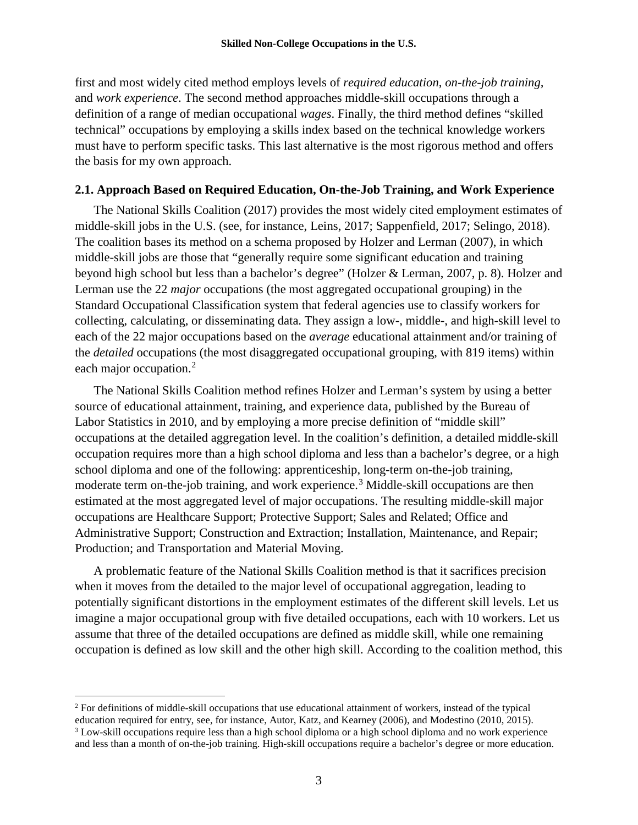first and most widely cited method employs levels of *required education*, *on-the-job training,* and *work experience*. The second method approaches middle-skill occupations through a definition of a range of median occupational *wages*. Finally, the third method defines "skilled technical" occupations by employing a skills index based on the technical knowledge workers must have to perform specific tasks. This last alternative is the most rigorous method and offers the basis for my own approach.

# **2.1. Approach Based on Required Education, On-the-Job Training, and Work Experience**

The National Skills Coalition (2017) provides the most widely cited employment estimates of middle-skill jobs in the U.S. (see, for instance, Leins, 2017; Sappenfield, 2017; Selingo, 2018). The coalition bases its method on a schema proposed by Holzer and Lerman (2007), in which middle-skill jobs are those that "generally require some significant education and training beyond high school but less than a bachelor's degree" (Holzer & Lerman, 2007, p. 8). Holzer and Lerman use the 22 *major* occupations (the most aggregated occupational grouping) in the Standard Occupational Classification system that federal agencies use to classify workers for collecting, calculating, or disseminating data. They assign a low-, middle-, and high-skill level to each of the 22 major occupations based on the *average* educational attainment and/or training of the *detailed* occupations (the most disaggregated occupational grouping, with 819 items) within each major occupation.<sup>[2](#page-6-0)</sup>

The National Skills Coalition method refines Holzer and Lerman's system by using a better source of educational attainment, training, and experience data, published by the Bureau of Labor Statistics in 2010, and by employing a more precise definition of "middle skill" occupations at the detailed aggregation level. In the coalition's definition, a detailed middle-skill occupation requires more than a high school diploma and less than a bachelor's degree, or a high school diploma and one of the following: apprenticeship, long-term on-the-job training, moderate term on-the-job training, and work experience.<sup>[3](#page-6-1)</sup> Middle-skill occupations are then estimated at the most aggregated level of major occupations. The resulting middle-skill major occupations are Healthcare Support; Protective Support; Sales and Related; Office and Administrative Support; Construction and Extraction; Installation, Maintenance, and Repair; Production; and Transportation and Material Moving.

A problematic feature of the National Skills Coalition method is that it sacrifices precision when it moves from the detailed to the major level of occupational aggregation, leading to potentially significant distortions in the employment estimates of the different skill levels. Let us imagine a major occupational group with five detailed occupations, each with 10 workers. Let us assume that three of the detailed occupations are defined as middle skill, while one remaining occupation is defined as low skill and the other high skill. According to the coalition method, this

<span id="page-6-0"></span> <sup>2</sup> For definitions of middle-skill occupations that use educational attainment of workers, instead of the typical

education required for entry, see, for instance, Autor, Katz, and Kearney (2006), and Modestino (2010, 2015).

<span id="page-6-1"></span><sup>3</sup> Low-skill occupations require less than a high school diploma or a high school diploma and no work experience and less than a month of on-the-job training. High-skill occupations require a bachelor's degree or more education.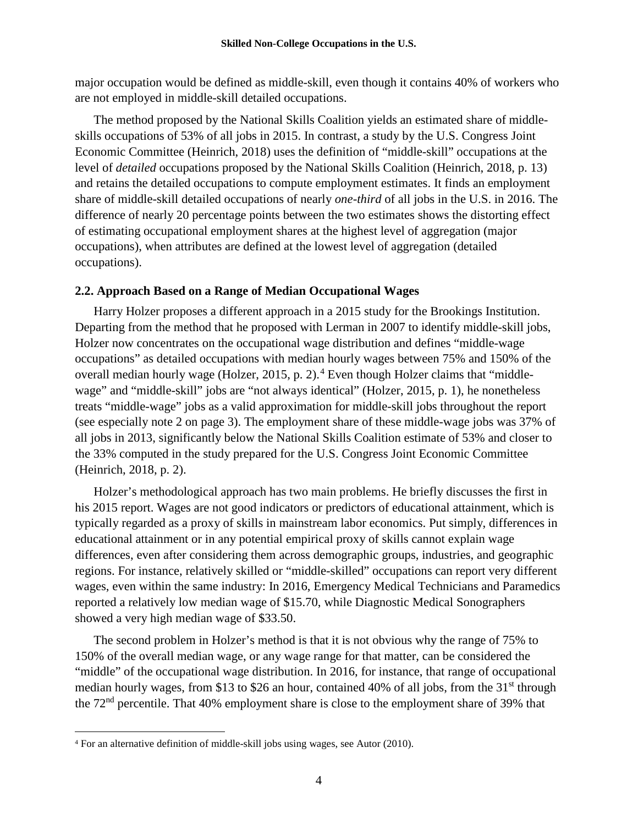major occupation would be defined as middle-skill, even though it contains 40% of workers who are not employed in middle-skill detailed occupations.

The method proposed by the National Skills Coalition yields an estimated share of middleskills occupations of 53% of all jobs in 2015. In contrast, a study by the U.S. Congress Joint Economic Committee (Heinrich, 2018) uses the definition of "middle-skill" occupations at the level of *detailed* occupations proposed by the National Skills Coalition (Heinrich, 2018, p. 13) and retains the detailed occupations to compute employment estimates. It finds an employment share of middle-skill detailed occupations of nearly *one-third* of all jobs in the U.S. in 2016. The difference of nearly 20 percentage points between the two estimates shows the distorting effect of estimating occupational employment shares at the highest level of aggregation (major occupations), when attributes are defined at the lowest level of aggregation (detailed occupations).

# **2.2. Approach Based on a Range of Median Occupational Wages**

Harry Holzer proposes a different approach in a 2015 study for the Brookings Institution. Departing from the method that he proposed with Lerman in 2007 to identify middle-skill jobs, Holzer now concentrates on the occupational wage distribution and defines "middle-wage occupations" as detailed occupations with median hourly wages between 75% and 150% of the overall median hourly wage (Holzer, 2015, p. 2).<sup>[4](#page-7-0)</sup> Even though Holzer claims that "middlewage" and "middle-skill" jobs are "not always identical" (Holzer, 2015, p. 1), he nonetheless treats "middle-wage" jobs as a valid approximation for middle-skill jobs throughout the report (see especially note 2 on page 3). The employment share of these middle-wage jobs was 37% of all jobs in 2013, significantly below the National Skills Coalition estimate of 53% and closer to the 33% computed in the study prepared for the U.S. Congress Joint Economic Committee (Heinrich, 2018, p. 2).

Holzer's methodological approach has two main problems. He briefly discusses the first in his 2015 report. Wages are not good indicators or predictors of educational attainment, which is typically regarded as a proxy of skills in mainstream labor economics. Put simply, differences in educational attainment or in any potential empirical proxy of skills cannot explain wage differences, even after considering them across demographic groups, industries, and geographic regions. For instance, relatively skilled or "middle-skilled" occupations can report very different wages, even within the same industry: In 2016, Emergency Medical Technicians and Paramedics reported a relatively low median wage of \$15.70, while Diagnostic Medical Sonographers showed a very high median wage of \$33.50.

The second problem in Holzer's method is that it is not obvious why the range of 75% to 150% of the overall median wage, or any wage range for that matter, can be considered the "middle" of the occupational wage distribution. In 2016, for instance, that range of occupational median hourly wages, from \$13 to \$26 an hour, contained 40% of all jobs, from the  $31<sup>st</sup>$  through the 72nd percentile. That 40% employment share is close to the employment share of 39% that

<span id="page-7-0"></span> <sup>4</sup> For an alternative definition of middle-skill jobs using wages, see Autor (2010).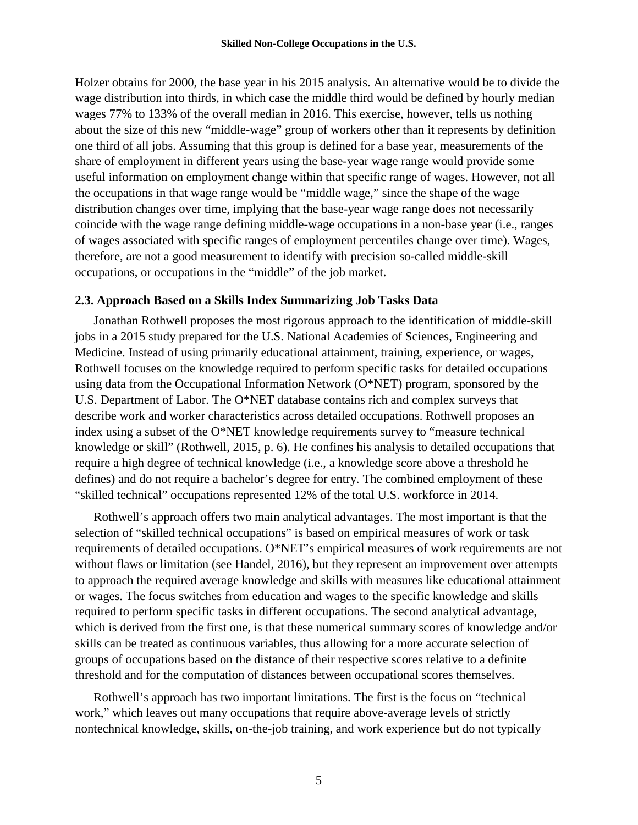Holzer obtains for 2000, the base year in his 2015 analysis. An alternative would be to divide the wage distribution into thirds, in which case the middle third would be defined by hourly median wages 77% to 133% of the overall median in 2016. This exercise, however, tells us nothing about the size of this new "middle-wage" group of workers other than it represents by definition one third of all jobs. Assuming that this group is defined for a base year, measurements of the share of employment in different years using the base-year wage range would provide some useful information on employment change within that specific range of wages. However, not all the occupations in that wage range would be "middle wage," since the shape of the wage distribution changes over time, implying that the base-year wage range does not necessarily coincide with the wage range defining middle-wage occupations in a non-base year (i.e., ranges of wages associated with specific ranges of employment percentiles change over time). Wages, therefore, are not a good measurement to identify with precision so-called middle-skill occupations, or occupations in the "middle" of the job market.

## **2.3. Approach Based on a Skills Index Summarizing Job Tasks Data**

Jonathan Rothwell proposes the most rigorous approach to the identification of middle-skill jobs in a 2015 study prepared for the U.S. National Academies of Sciences, Engineering and Medicine. Instead of using primarily educational attainment, training, experience, or wages, Rothwell focuses on the knowledge required to perform specific tasks for detailed occupations using data from the Occupational Information Network (O\*NET) program, sponsored by the U.S. Department of Labor. The O\*NET database contains rich and complex surveys that describe work and worker characteristics across detailed occupations. Rothwell proposes an index using a subset of the O\*NET knowledge requirements survey to "measure technical knowledge or skill" (Rothwell, 2015, p. 6). He confines his analysis to detailed occupations that require a high degree of technical knowledge (i.e., a knowledge score above a threshold he defines) and do not require a bachelor's degree for entry. The combined employment of these "skilled technical" occupations represented 12% of the total U.S. workforce in 2014.

Rothwell's approach offers two main analytical advantages. The most important is that the selection of "skilled technical occupations" is based on empirical measures of work or task requirements of detailed occupations. O\*NET's empirical measures of work requirements are not without flaws or limitation (see Handel, 2016), but they represent an improvement over attempts to approach the required average knowledge and skills with measures like educational attainment or wages. The focus switches from education and wages to the specific knowledge and skills required to perform specific tasks in different occupations. The second analytical advantage, which is derived from the first one, is that these numerical summary scores of knowledge and/or skills can be treated as continuous variables, thus allowing for a more accurate selection of groups of occupations based on the distance of their respective scores relative to a definite threshold and for the computation of distances between occupational scores themselves.

Rothwell's approach has two important limitations. The first is the focus on "technical work," which leaves out many occupations that require above-average levels of strictly nontechnical knowledge, skills, on-the-job training, and work experience but do not typically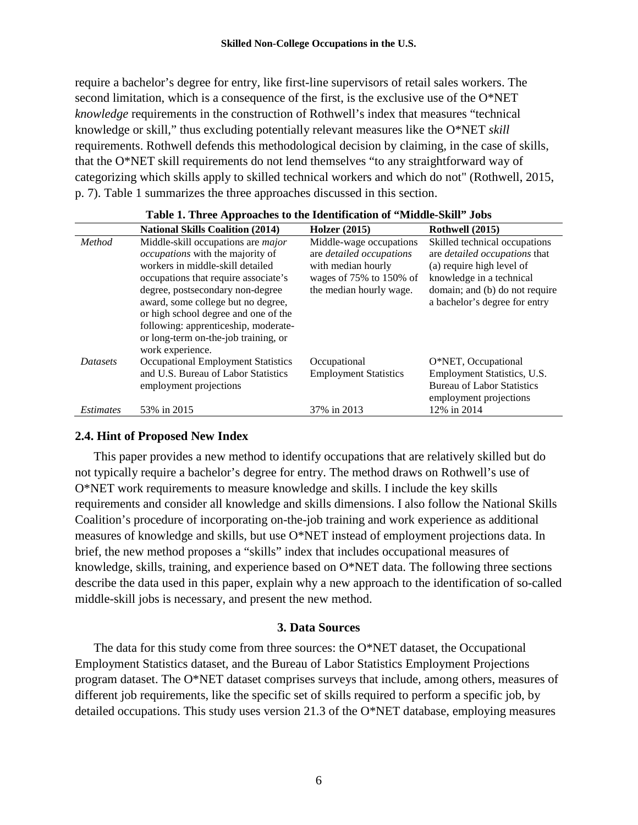require a bachelor's degree for entry, like first-line supervisors of retail sales workers. The second limitation, which is a consequence of the first, is the exclusive use of the O\*NET *knowledge* requirements in the construction of Rothwell's index that measures "technical knowledge or skill," thus excluding potentially relevant measures like the O\*NET *skill* requirements. Rothwell defends this methodological decision by claiming, in the case of skills, that the O\*NET skill requirements do not lend themselves "to any straightforward way of categorizing which skills apply to skilled technical workers and which do not" (Rothwell, 2015, p. 7). Table 1 summarizes the three approaches discussed in this section.

| wore it information to the inchinesion of things bind wood |                                                                                                                                                                                                                                                                                                                                                                                        |                                                                                                                                 |                                                                                                                                                                                            |
|------------------------------------------------------------|----------------------------------------------------------------------------------------------------------------------------------------------------------------------------------------------------------------------------------------------------------------------------------------------------------------------------------------------------------------------------------------|---------------------------------------------------------------------------------------------------------------------------------|--------------------------------------------------------------------------------------------------------------------------------------------------------------------------------------------|
|                                                            | <b>National Skills Coalition (2014)</b>                                                                                                                                                                                                                                                                                                                                                | <b>Holzer</b> (2015)                                                                                                            | Rothwell (2015)                                                                                                                                                                            |
| Method                                                     | Middle-skill occupations are <i>major</i><br><i>occupations</i> with the majority of<br>workers in middle-skill detailed<br>occupations that require associate's<br>degree, postsecondary non-degree<br>award, some college but no degree,<br>or high school degree and one of the<br>following: apprenticeship, moderate-<br>or long-term on-the-job training, or<br>work experience. | Middle-wage occupations<br>are detailed occupations<br>with median hourly<br>wages of 75% to 150% of<br>the median hourly wage. | Skilled technical occupations<br>are detailed occupations that<br>(a) require high level of<br>knowledge in a technical<br>domain; and (b) do not require<br>a bachelor's degree for entry |
| <b>Datasets</b><br><i>Estimates</i>                        | <b>Occupational Employment Statistics</b><br>and U.S. Bureau of Labor Statistics<br>employment projections<br>53% in 2015                                                                                                                                                                                                                                                              | Occupational<br><b>Employment Statistics</b><br>37% in 2013                                                                     | O*NET, Occupational<br>Employment Statistics, U.S.<br><b>Bureau of Labor Statistics</b><br>employment projections<br>12% in 2014                                                           |
|                                                            |                                                                                                                                                                                                                                                                                                                                                                                        |                                                                                                                                 |                                                                                                                                                                                            |

# **Table 1. Three Approaches to the Identification of "Middle-Skill" Jobs**

## **2.4. Hint of Proposed New Index**

This paper provides a new method to identify occupations that are relatively skilled but do not typically require a bachelor's degree for entry. The method draws on Rothwell's use of O\*NET work requirements to measure knowledge and skills. I include the key skills requirements and consider all knowledge and skills dimensions. I also follow the National Skills Coalition's procedure of incorporating on-the-job training and work experience as additional measures of knowledge and skills, but use O\*NET instead of employment projections data. In brief, the new method proposes a "skills" index that includes occupational measures of knowledge, skills, training, and experience based on O\*NET data. The following three sections describe the data used in this paper, explain why a new approach to the identification of so-called middle-skill jobs is necessary, and present the new method.

#### **3. Data Sources**

The data for this study come from three sources: the O\*NET dataset, the Occupational Employment Statistics dataset, and the Bureau of Labor Statistics Employment Projections program dataset. The O\*NET dataset comprises surveys that include, among others, measures of different job requirements, like the specific set of skills required to perform a specific job, by detailed occupations. This study uses version 21.3 of the O\*NET database, employing measures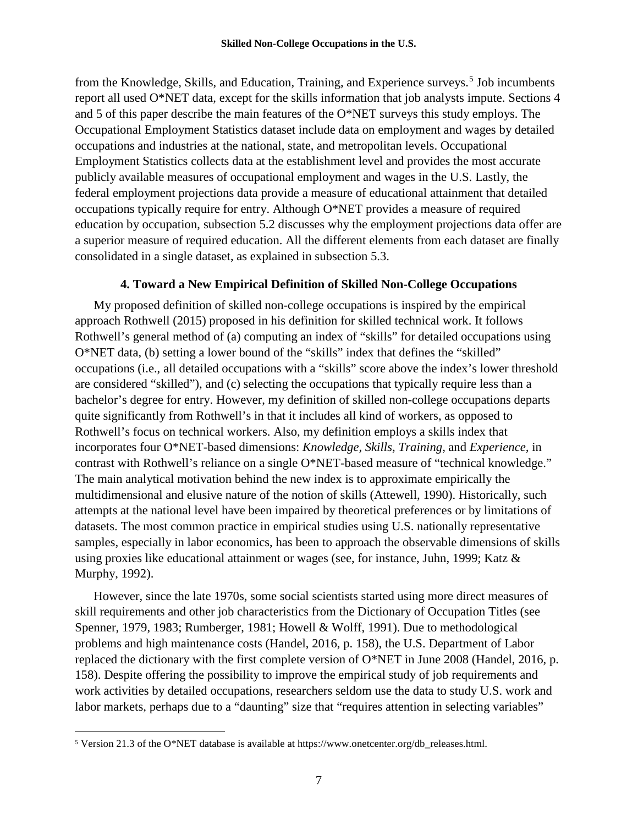from the Knowledge, Skills, and Education, Training, and Experience surveys. [5](#page-10-0) Job incumbents report all used O\*NET data, except for the skills information that job analysts impute. Sections 4 and 5 of this paper describe the main features of the O\*NET surveys this study employs. The Occupational Employment Statistics dataset include data on employment and wages by detailed occupations and industries at the national, state, and metropolitan levels. Occupational Employment Statistics collects data at the establishment level and provides the most accurate publicly available measures of occupational employment and wages in the U.S. Lastly, the federal employment projections data provide a measure of educational attainment that detailed occupations typically require for entry. Although O\*NET provides a measure of required education by occupation, subsection 5.2 discusses why the employment projections data offer are a superior measure of required education. All the different elements from each dataset are finally consolidated in a single dataset, as explained in subsection 5.3.

# **4. Toward a New Empirical Definition of Skilled Non-College Occupations**

My proposed definition of skilled non-college occupations is inspired by the empirical approach Rothwell (2015) proposed in his definition for skilled technical work. It follows Rothwell's general method of (a) computing an index of "skills" for detailed occupations using O\*NET data, (b) setting a lower bound of the "skills" index that defines the "skilled" occupations (i.e., all detailed occupations with a "skills" score above the index's lower threshold are considered "skilled"), and (c) selecting the occupations that typically require less than a bachelor's degree for entry. However, my definition of skilled non-college occupations departs quite significantly from Rothwell's in that it includes all kind of workers, as opposed to Rothwell's focus on technical workers. Also, my definition employs a skills index that incorporates four O\*NET-based dimensions: *Knowledge, Skills, Training,* and *Experience,* in contrast with Rothwell's reliance on a single O\*NET-based measure of "technical knowledge." The main analytical motivation behind the new index is to approximate empirically the multidimensional and elusive nature of the notion of skills (Attewell, 1990). Historically, such attempts at the national level have been impaired by theoretical preferences or by limitations of datasets. The most common practice in empirical studies using U.S. nationally representative samples, especially in labor economics, has been to approach the observable dimensions of skills using proxies like educational attainment or wages (see, for instance, Juhn, 1999; Katz & Murphy, 1992).

However, since the late 1970s, some social scientists started using more direct measures of skill requirements and other job characteristics from the Dictionary of Occupation Titles (see Spenner, 1979, 1983; Rumberger, 1981; Howell & Wolff, 1991). Due to methodological problems and high maintenance costs (Handel, 2016, p. 158), the U.S. Department of Labor replaced the dictionary with the first complete version of O\*NET in June 2008 (Handel, 2016, p. 158). Despite offering the possibility to improve the empirical study of job requirements and work activities by detailed occupations, researchers seldom use the data to study U.S. work and labor markets, perhaps due to a "daunting" size that "requires attention in selecting variables"

<span id="page-10-0"></span> <sup>5</sup> Version 21.3 of the O\*NET database is available at https://www.onetcenter.org/db\_releases.html.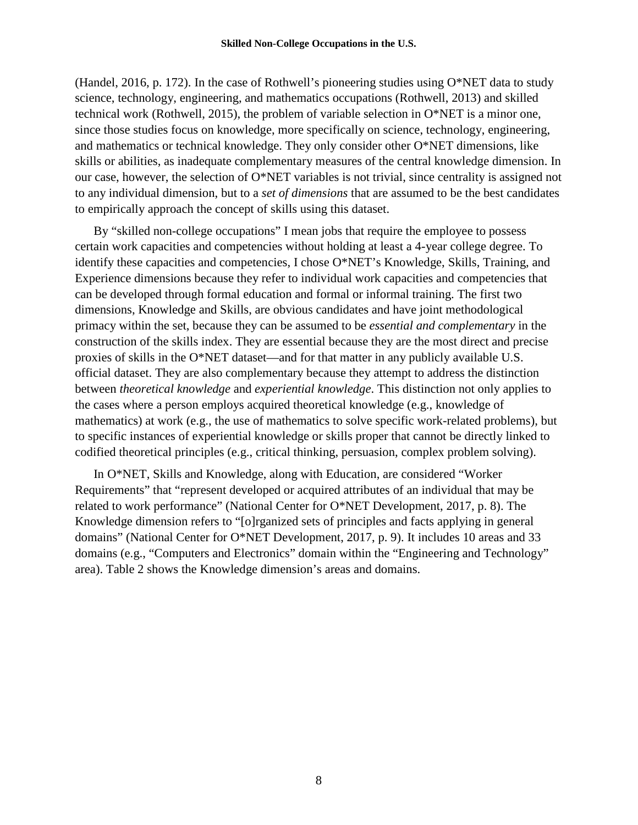(Handel, 2016, p. 172). In the case of Rothwell's pioneering studies using  $O^*NET$  data to study science, technology, engineering, and mathematics occupations (Rothwell, 2013) and skilled technical work (Rothwell, 2015), the problem of variable selection in O\*NET is a minor one, since those studies focus on knowledge, more specifically on science, technology, engineering, and mathematics or technical knowledge. They only consider other O\*NET dimensions, like skills or abilities, as inadequate complementary measures of the central knowledge dimension. In our case, however, the selection of O\*NET variables is not trivial, since centrality is assigned not to any individual dimension, but to a *set of dimensions* that are assumed to be the best candidates to empirically approach the concept of skills using this dataset.

By "skilled non-college occupations" I mean jobs that require the employee to possess certain work capacities and competencies without holding at least a 4-year college degree. To identify these capacities and competencies, I chose O\*NET's Knowledge, Skills, Training, and Experience dimensions because they refer to individual work capacities and competencies that can be developed through formal education and formal or informal training. The first two dimensions, Knowledge and Skills, are obvious candidates and have joint methodological primacy within the set, because they can be assumed to be *essential and complementary* in the construction of the skills index. They are essential because they are the most direct and precise proxies of skills in the O\*NET dataset—and for that matter in any publicly available U.S. official dataset. They are also complementary because they attempt to address the distinction between *theoretical knowledge* and *experiential knowledge*. This distinction not only applies to the cases where a person employs acquired theoretical knowledge (e.g., knowledge of mathematics) at work (e.g., the use of mathematics to solve specific work-related problems), but to specific instances of experiential knowledge or skills proper that cannot be directly linked to codified theoretical principles (e.g., critical thinking, persuasion, complex problem solving).

In O\*NET, Skills and Knowledge, along with Education, are considered "Worker Requirements" that "represent developed or acquired attributes of an individual that may be related to work performance" (National Center for O\*NET Development, 2017, p. 8). The Knowledge dimension refers to "[o]rganized sets of principles and facts applying in general domains" (National Center for O\*NET Development, 2017, p. 9). It includes 10 areas and 33 domains (e.g., "Computers and Electronics" domain within the "Engineering and Technology" area). Table 2 shows the Knowledge dimension's areas and domains.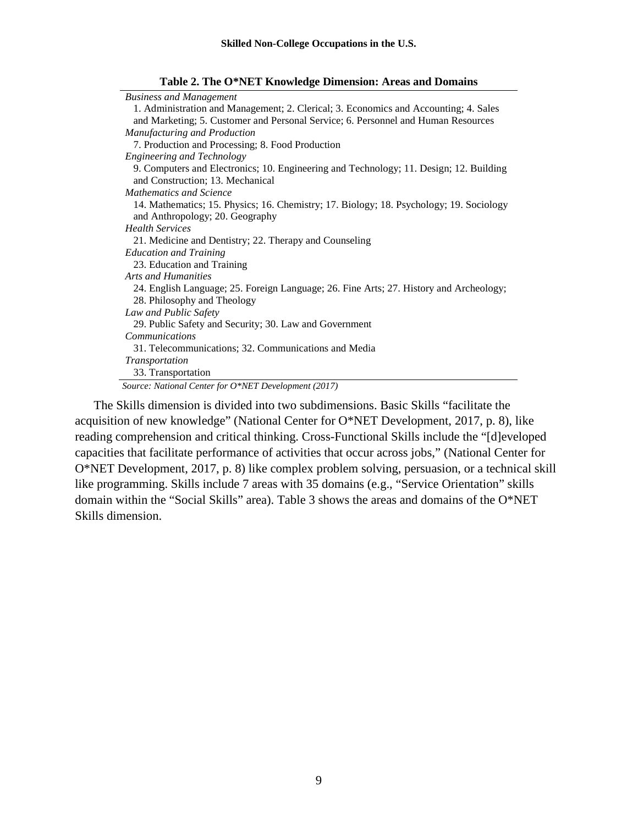| <b>Business and Management</b>                                                          |
|-----------------------------------------------------------------------------------------|
| 1. Administration and Management; 2. Clerical; 3. Economics and Accounting; 4. Sales    |
| and Marketing; 5. Customer and Personal Service; 6. Personnel and Human Resources       |
| Manufacturing and Production                                                            |
| 7. Production and Processing; 8. Food Production                                        |
| <b>Engineering and Technology</b>                                                       |
| 9. Computers and Electronics; 10. Engineering and Technology; 11. Design; 12. Building  |
| and Construction; 13. Mechanical                                                        |
| Mathematics and Science                                                                 |
| 14. Mathematics; 15. Physics; 16. Chemistry; 17. Biology; 18. Psychology; 19. Sociology |
| and Anthropology; 20. Geography                                                         |
| <b>Health Services</b>                                                                  |
| 21. Medicine and Dentistry; 22. Therapy and Counseling                                  |
| <b>Education and Training</b>                                                           |
| 23. Education and Training                                                              |
| Arts and Humanities                                                                     |
| 24. English Language; 25. Foreign Language; 26. Fine Arts; 27. History and Archeology;  |
| 28. Philosophy and Theology                                                             |
| Law and Public Safety                                                                   |
| 29. Public Safety and Security; 30. Law and Government                                  |
| <b>Communications</b>                                                                   |
| 31. Telecommunications; 32. Communications and Media                                    |
| <i>Transportation</i>                                                                   |
| 33. Transportation                                                                      |
| Source: National Center for O*NET Development (2017)                                    |

**Table 2. The O\*NET Knowledge Dimension: Areas and Domains**

The Skills dimension is divided into two subdimensions. Basic Skills "facilitate the acquisition of new knowledge" (National Center for O\*NET Development, 2017, p. 8), like reading comprehension and critical thinking. Cross-Functional Skills include the "[d]eveloped capacities that facilitate performance of activities that occur across jobs," (National Center for O\*NET Development, 2017, p. 8) like complex problem solving, persuasion, or a technical skill like programming. Skills include 7 areas with 35 domains (e.g., "Service Orientation" skills domain within the "Social Skills" area). Table 3 shows the areas and domains of the O\*NET Skills dimension.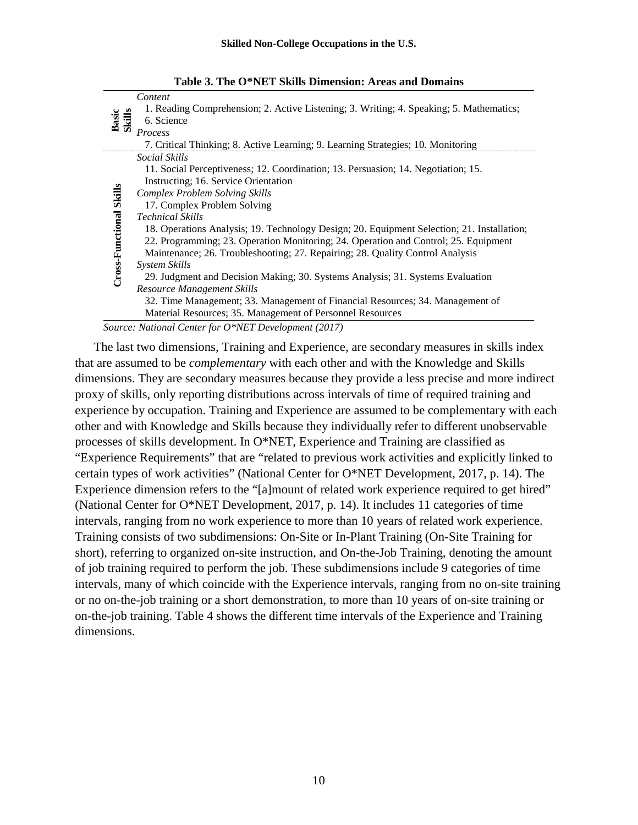|                         | Content                                                                                    |
|-------------------------|--------------------------------------------------------------------------------------------|
| Basic<br>Skills         | 1. Reading Comprehension; 2. Active Listening; 3. Writing; 4. Speaking; 5. Mathematics;    |
|                         | 6. Science                                                                                 |
|                         | Process                                                                                    |
|                         | 7. Critical Thinking; 8. Active Learning; 9. Learning Strategies; 10. Monitoring           |
|                         | <i>Social Skills</i>                                                                       |
|                         | 11. Social Perceptiveness; 12. Coordination; 13. Persuasion; 14. Negotiation; 15.          |
|                         | Instructing; 16. Service Orientation                                                       |
| Cross-Functional Skills | <b>Complex Problem Solving Skills</b>                                                      |
|                         | 17. Complex Problem Solving                                                                |
|                         | <b>Technical Skills</b>                                                                    |
|                         | 18. Operations Analysis; 19. Technology Design; 20. Equipment Selection; 21. Installation; |
|                         | 22. Programming; 23. Operation Monitoring; 24. Operation and Control; 25. Equipment        |
|                         | Maintenance; 26. Troubleshooting; 27. Repairing; 28. Quality Control Analysis              |
|                         | System Skills                                                                              |
|                         | 29. Judgment and Decision Making; 30. Systems Analysis; 31. Systems Evaluation             |
|                         | Resource Management Skills                                                                 |
|                         | 32. Time Management; 33. Management of Financial Resources; 34. Management of              |
|                         | Material Resources; 35. Management of Personnel Resources                                  |

**Table 3. The O\*NET Skills Dimension: Areas and Domains**

*Source: National Center for O\*NET Development (2017)*

The last two dimensions, Training and Experience, are secondary measures in skills index that are assumed to be *complementary* with each other and with the Knowledge and Skills dimensions. They are secondary measures because they provide a less precise and more indirect proxy of skills, only reporting distributions across intervals of time of required training and experience by occupation. Training and Experience are assumed to be complementary with each other and with Knowledge and Skills because they individually refer to different unobservable processes of skills development. In O\*NET, Experience and Training are classified as "Experience Requirements" that are "related to previous work activities and explicitly linked to certain types of work activities" (National Center for O\*NET Development, 2017, p. 14). The Experience dimension refers to the "[a]mount of related work experience required to get hired" (National Center for O\*NET Development, 2017, p. 14). It includes 11 categories of time intervals, ranging from no work experience to more than 10 years of related work experience. Training consists of two subdimensions: On-Site or In-Plant Training (On-Site Training for short), referring to organized on-site instruction, and On-the-Job Training, denoting the amount of job training required to perform the job. These subdimensions include 9 categories of time intervals, many of which coincide with the Experience intervals, ranging from no on-site training or no on-the-job training or a short demonstration, to more than 10 years of on-site training or on-the-job training. Table 4 shows the different time intervals of the Experience and Training dimensions.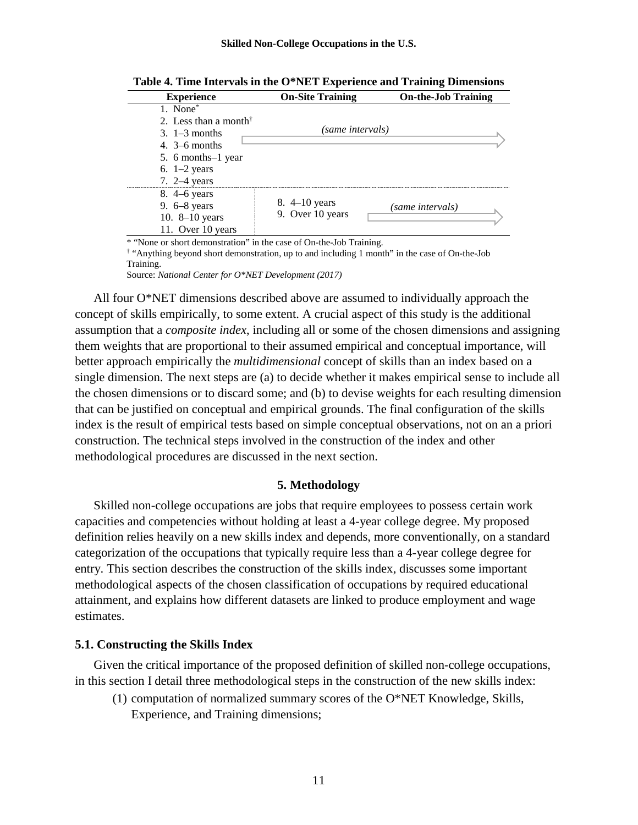| <b>Experience</b>                                    | <b>On-Site Training</b> | <b>On-the-Job Training</b> |
|------------------------------------------------------|-------------------------|----------------------------|
| 1. None <sup>*</sup>                                 |                         |                            |
| 2. Less than a month <sup><math>\dagger</math></sup> |                         |                            |
| $3.1-3$ months                                       | (same intervals)        |                            |
| 4. $3-6$ months                                      |                         |                            |
| 5. 6 months–1 year                                   |                         |                            |
| 6. $1-2$ years                                       |                         |                            |
| 7. $2-4$ years                                       |                         |                            |
| $8.4 - 6$ years                                      |                         |                            |
| 9. $6-8$ years                                       | 8. $4-10$ years         | (same intervals)           |
| 10. $8-10$ years                                     | 9. Over 10 years        |                            |
| 11. Over 10 years                                    |                         |                            |

**Table 4. Time Intervals in the O\*NET Experience and Training Dimensions**

\* "None or short demonstration" in the case of On-the-Job Training.

† "Anything beyond short demonstration, up to and including 1 month" in the case of On-the-Job Training.

Source: *National Center for O\*NET Development (2017)*

All four O\*NET dimensions described above are assumed to individually approach the concept of skills empirically, to some extent. A crucial aspect of this study is the additional assumption that a *composite index*, including all or some of the chosen dimensions and assigning them weights that are proportional to their assumed empirical and conceptual importance, will better approach empirically the *multidimensional* concept of skills than an index based on a single dimension. The next steps are (a) to decide whether it makes empirical sense to include all the chosen dimensions or to discard some; and (b) to devise weights for each resulting dimension that can be justified on conceptual and empirical grounds. The final configuration of the skills index is the result of empirical tests based on simple conceptual observations, not on an a priori construction. The technical steps involved in the construction of the index and other methodological procedures are discussed in the next section.

#### **5. Methodology**

Skilled non-college occupations are jobs that require employees to possess certain work capacities and competencies without holding at least a 4-year college degree. My proposed definition relies heavily on a new skills index and depends, more conventionally, on a standard categorization of the occupations that typically require less than a 4-year college degree for entry. This section describes the construction of the skills index, discusses some important methodological aspects of the chosen classification of occupations by required educational attainment, and explains how different datasets are linked to produce employment and wage estimates.

#### **5.1. Constructing the Skills Index**

Given the critical importance of the proposed definition of skilled non-college occupations, in this section I detail three methodological steps in the construction of the new skills index:

(1) computation of normalized summary scores of the O\*NET Knowledge, Skills, Experience, and Training dimensions;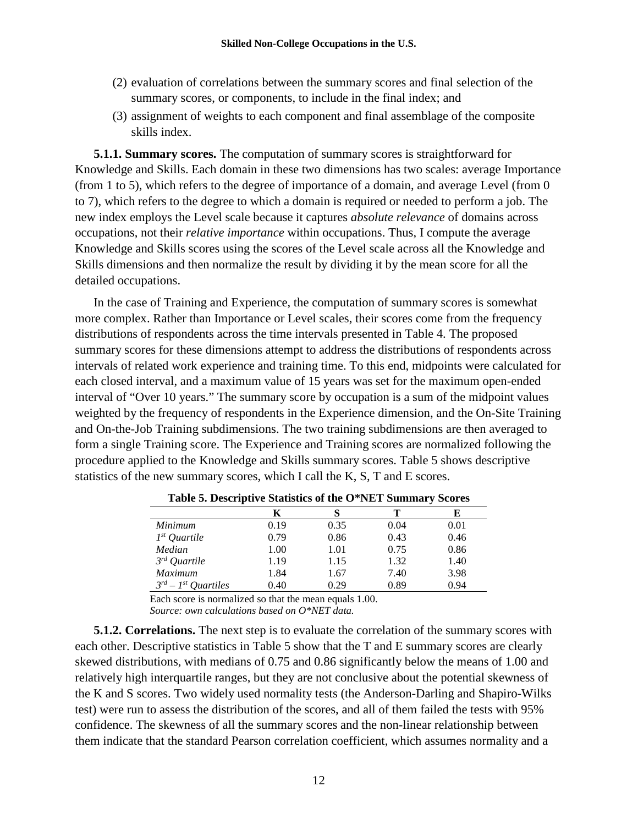- (2) evaluation of correlations between the summary scores and final selection of the summary scores, or components, to include in the final index; and
- (3) assignment of weights to each component and final assemblage of the composite skills index.

**5.1.1. Summary scores.** The computation of summary scores is straightforward for Knowledge and Skills. Each domain in these two dimensions has two scales: average Importance (from 1 to 5), which refers to the degree of importance of a domain, and average Level (from 0 to 7), which refers to the degree to which a domain is required or needed to perform a job. The new index employs the Level scale because it captures *absolute relevance* of domains across occupations, not their *relative importance* within occupations. Thus, I compute the average Knowledge and Skills scores using the scores of the Level scale across all the Knowledge and Skills dimensions and then normalize the result by dividing it by the mean score for all the detailed occupations.

In the case of Training and Experience, the computation of summary scores is somewhat more complex. Rather than Importance or Level scales, their scores come from the frequency distributions of respondents across the time intervals presented in Table 4. The proposed summary scores for these dimensions attempt to address the distributions of respondents across intervals of related work experience and training time. To this end, midpoints were calculated for each closed interval, and a maximum value of 15 years was set for the maximum open-ended interval of "Over 10 years." The summary score by occupation is a sum of the midpoint values weighted by the frequency of respondents in the Experience dimension, and the On-Site Training and On-the-Job Training subdimensions. The two training subdimensions are then averaged to form a single Training score. The Experience and Training scores are normalized following the procedure applied to the Knowledge and Skills summary scores. Table 5 shows descriptive statistics of the new summary scores, which I call the K, S, T and E scores.

| Table of Descriptive blatistics of the O TiET building y because |      |      |      |      |
|------------------------------------------------------------------|------|------|------|------|
|                                                                  | K    |      |      | Е    |
| Minimum                                                          | 0.19 | 0.35 | 0.04 | 0.01 |
| $1^{st}$ Quartile                                                | 0.79 | 0.86 | 0.43 | 0.46 |
| Median                                                           | 1.00 | 1.01 | 0.75 | 0.86 |
| $3^{rd}$ Quartile                                                | 1.19 | 1.15 | 1.32 | 1.40 |
| <i>Maximum</i>                                                   | 1.84 | 1.67 | 7.40 | 3.98 |
| $3^{rd}$ – 1 <sup>st</sup> Quartiles                             | 0.40 | 0.29 | 0.89 | 0.94 |

| Table 5. Descriptive Statistics of the O*NET Summary Scores |
|-------------------------------------------------------------|
|-------------------------------------------------------------|

Each score is normalized so that the mean equals 1.00. *Source: own calculations based on O\*NET data.*

**5.1.2. Correlations.** The next step is to evaluate the correlation of the summary scores with each other. Descriptive statistics in Table 5 show that the T and E summary scores are clearly skewed distributions, with medians of 0.75 and 0.86 significantly below the means of 1.00 and relatively high interquartile ranges, but they are not conclusive about the potential skewness of the K and S scores. Two widely used normality tests (the Anderson-Darling and Shapiro-Wilks test) were run to assess the distribution of the scores, and all of them failed the tests with 95% confidence. The skewness of all the summary scores and the non-linear relationship between them indicate that the standard Pearson correlation coefficient, which assumes normality and a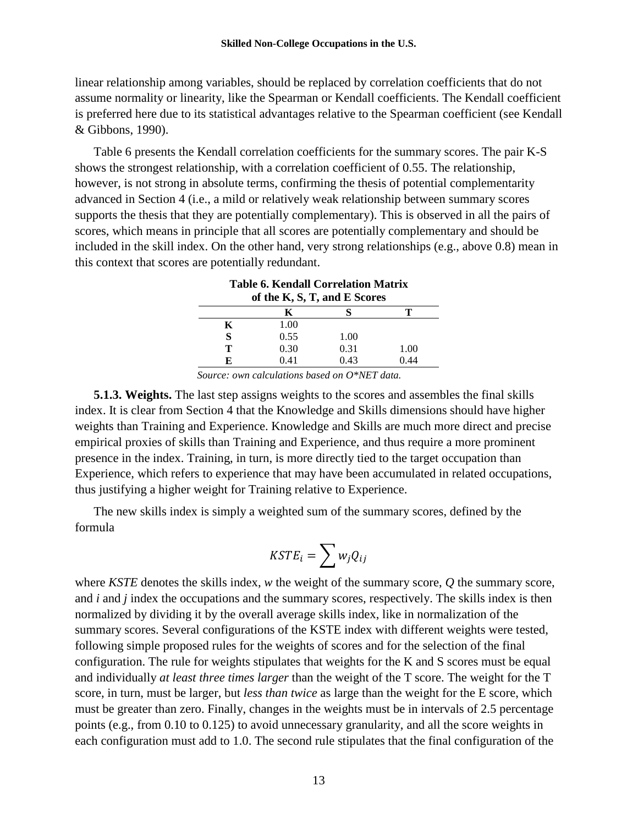linear relationship among variables, should be replaced by correlation coefficients that do not assume normality or linearity, like the Spearman or Kendall coefficients. The Kendall coefficient is preferred here due to its statistical advantages relative to the Spearman coefficient (see Kendall & Gibbons, 1990).

Table 6 presents the Kendall correlation coefficients for the summary scores. The pair K-S shows the strongest relationship, with a correlation coefficient of 0.55. The relationship, however, is not strong in absolute terms, confirming the thesis of potential complementarity advanced in Section 4 (i.e., a mild or relatively weak relationship between summary scores supports the thesis that they are potentially complementary). This is observed in all the pairs of scores, which means in principle that all scores are potentially complementary and should be included in the skill index. On the other hand, very strong relationships (e.g., above 0.8) mean in this context that scores are potentially redundant.

|    | of the K, S, T, and E Scores |      |      |
|----|------------------------------|------|------|
|    | K                            |      |      |
| K  | 1.00                         |      |      |
| S  | 0.55                         | 1.00 |      |
| т  | 0.30                         | 0.31 | 1.00 |
| F. | 0.41                         | 0.43 | 0.44 |

**Table 6. Kendall Correlation Matrix**

*Source: own calculations based on O\*NET data.*

**5.1.3. Weights.** The last step assigns weights to the scores and assembles the final skills index. It is clear from Section 4 that the Knowledge and Skills dimensions should have higher weights than Training and Experience. Knowledge and Skills are much more direct and precise empirical proxies of skills than Training and Experience, and thus require a more prominent presence in the index. Training, in turn, is more directly tied to the target occupation than Experience, which refers to experience that may have been accumulated in related occupations, thus justifying a higher weight for Training relative to Experience.

The new skills index is simply a weighted sum of the summary scores, defined by the formula

$$
KSTE_i=\sum w_jQ_{ij}
$$

where *KSTE* denotes the skills index, *w* the weight of the summary score, *Q* the summary score, and *i* and *j* index the occupations and the summary scores, respectively. The skills index is then normalized by dividing it by the overall average skills index, like in normalization of the summary scores. Several configurations of the KSTE index with different weights were tested, following simple proposed rules for the weights of scores and for the selection of the final configuration. The rule for weights stipulates that weights for the K and S scores must be equal and individually *at least three times larger* than the weight of the T score. The weight for the T score, in turn, must be larger, but *less than twice* as large than the weight for the E score, which must be greater than zero. Finally, changes in the weights must be in intervals of 2.5 percentage points (e.g., from 0.10 to 0.125) to avoid unnecessary granularity, and all the score weights in each configuration must add to 1.0. The second rule stipulates that the final configuration of the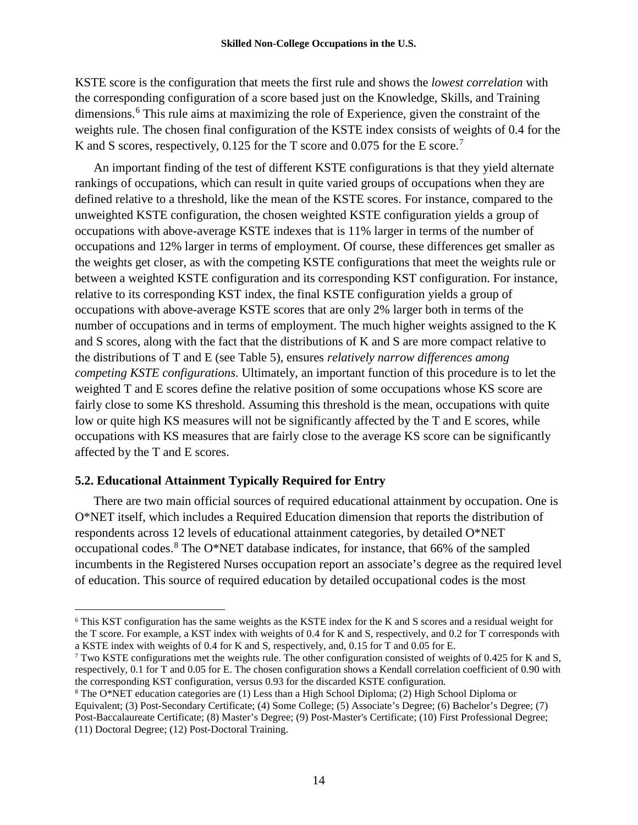KSTE score is the configuration that meets the first rule and shows the *lowest correlation* with the corresponding configuration of a score based just on the Knowledge, Skills, and Training dimensions. [6](#page-17-0) This rule aims at maximizing the role of Experience, given the constraint of the weights rule. The chosen final configuration of the KSTE index consists of weights of 0.4 for the K and S scores, respectively, 0.125 for the T score and 0.0[7](#page-17-1)5 for the E score.<sup>7</sup>

An important finding of the test of different KSTE configurations is that they yield alternate rankings of occupations, which can result in quite varied groups of occupations when they are defined relative to a threshold, like the mean of the KSTE scores. For instance, compared to the unweighted KSTE configuration, the chosen weighted KSTE configuration yields a group of occupations with above-average KSTE indexes that is 11% larger in terms of the number of occupations and 12% larger in terms of employment. Of course, these differences get smaller as the weights get closer, as with the competing KSTE configurations that meet the weights rule or between a weighted KSTE configuration and its corresponding KST configuration. For instance, relative to its corresponding KST index, the final KSTE configuration yields a group of occupations with above-average KSTE scores that are only 2% larger both in terms of the number of occupations and in terms of employment. The much higher weights assigned to the K and S scores, along with the fact that the distributions of K and S are more compact relative to the distributions of T and E (see Table 5), ensures *relatively narrow differences among competing KSTE configurations*. Ultimately, an important function of this procedure is to let the weighted T and E scores define the relative position of some occupations whose KS score are fairly close to some KS threshold. Assuming this threshold is the mean, occupations with quite low or quite high KS measures will not be significantly affected by the T and E scores, while occupations with KS measures that are fairly close to the average KS score can be significantly affected by the T and E scores.

# **5.2. Educational Attainment Typically Required for Entry**

There are two main official sources of required educational attainment by occupation. One is O\*NET itself, which includes a Required Education dimension that reports the distribution of respondents across 12 levels of educational attainment categories, by detailed O\*NET occupational codes. $8$  The O\*NET database indicates, for instance, that 66% of the sampled incumbents in the Registered Nurses occupation report an associate's degree as the required level of education. This source of required education by detailed occupational codes is the most

<span id="page-17-0"></span> <sup>6</sup> This KST configuration has the same weights as the KSTE index for the K and S scores and a residual weight for the T score. For example, a KST index with weights of 0.4 for K and S, respectively, and 0.2 for T corresponds with a KSTE index with weights of 0.4 for K and S, respectively, and, 0.15 for T and 0.05 for E.

<span id="page-17-1"></span><sup>7</sup> Two KSTE configurations met the weights rule. The other configuration consisted of weights of 0.425 for K and S, respectively, 0.1 for T and 0.05 for E. The chosen configuration shows a Kendall correlation coefficient of 0.90 with the corresponding KST configuration, versus 0.93 for the discarded KSTE configuration.

<span id="page-17-2"></span><sup>8</sup> The O\*NET education categories are (1) Less than a High School Diploma; (2) High School Diploma or Equivalent; (3) Post-Secondary Certificate; (4) Some College; (5) Associate's Degree; (6) Bachelor's Degree; (7) Post-Baccalaureate Certificate; (8) Master's Degree; (9) Post-Master's Certificate; (10) First Professional Degree; (11) Doctoral Degree; (12) Post-Doctoral Training.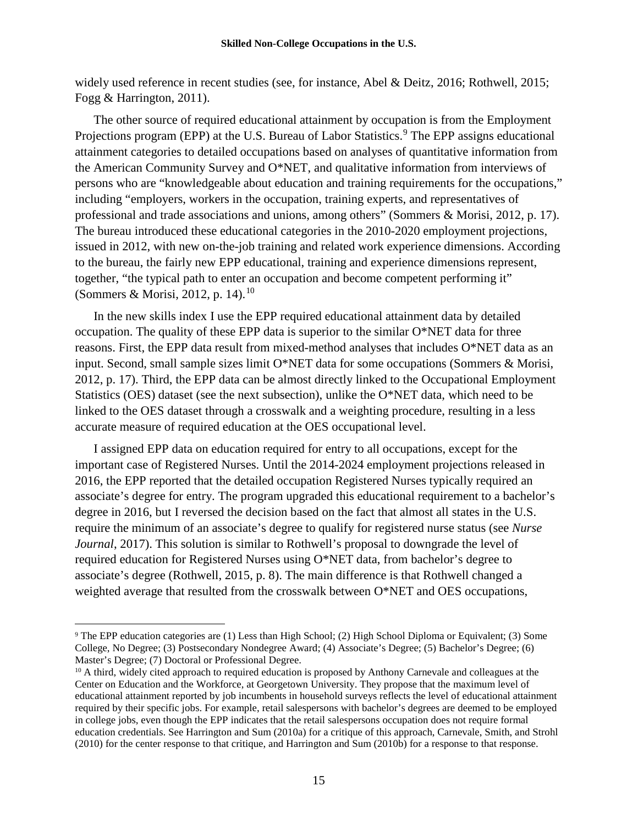widely used reference in recent studies (see, for instance, Abel & Deitz, 2016; Rothwell, 2015; Fogg & Harrington, 2011).

The other source of required educational attainment by occupation is from the Employment Projections program (EPP) at the U.S. Bureau of Labor Statistics.<sup>[9](#page-18-0)</sup> The EPP assigns educational attainment categories to detailed occupations based on analyses of quantitative information from the American Community Survey and O\*NET, and qualitative information from interviews of persons who are "knowledgeable about education and training requirements for the occupations," including "employers, workers in the occupation, training experts, and representatives of professional and trade associations and unions, among others" (Sommers & Morisi, 2012, p. 17). The bureau introduced these educational categories in the 2010-2020 employment projections, issued in 2012, with new on-the-job training and related work experience dimensions. According to the bureau, the fairly new EPP educational, training and experience dimensions represent, together, "the typical path to enter an occupation and become competent performing it" (Sommers & Morisi, 2012, p. 14).<sup>[10](#page-18-1)</sup>

In the new skills index I use the EPP required educational attainment data by detailed occupation. The quality of these EPP data is superior to the similar O\*NET data for three reasons. First, the EPP data result from mixed-method analyses that includes O\*NET data as an input. Second, small sample sizes limit O\*NET data for some occupations (Sommers & Morisi, 2012, p. 17). Third, the EPP data can be almost directly linked to the Occupational Employment Statistics (OES) dataset (see the next subsection), unlike the O\*NET data, which need to be linked to the OES dataset through a crosswalk and a weighting procedure, resulting in a less accurate measure of required education at the OES occupational level.

I assigned EPP data on education required for entry to all occupations, except for the important case of Registered Nurses. Until the 2014-2024 employment projections released in 2016, the EPP reported that the detailed occupation Registered Nurses typically required an associate's degree for entry. The program upgraded this educational requirement to a bachelor's degree in 2016, but I reversed the decision based on the fact that almost all states in the U.S. require the minimum of an associate's degree to qualify for registered nurse status (see *Nurse Journal*, 2017). This solution is similar to Rothwell's proposal to downgrade the level of required education for Registered Nurses using O\*NET data, from bachelor's degree to associate's degree (Rothwell, 2015, p. 8). The main difference is that Rothwell changed a weighted average that resulted from the crosswalk between O\*NET and OES occupations,

<span id="page-18-0"></span> <sup>9</sup> The EPP education categories are (1) Less than High School; (2) High School Diploma or Equivalent; (3) Some College, No Degree; (3) Postsecondary Nondegree Award; (4) Associate's Degree; (5) Bachelor's Degree; (6) Master's Degree; (7) Doctoral or Professional Degree.

<span id="page-18-1"></span><sup>&</sup>lt;sup>10</sup> A third, widely cited approach to required education is proposed by Anthony Carnevale and colleagues at the Center on Education and the Workforce, at Georgetown University. They propose that the maximum level of educational attainment reported by job incumbents in household surveys reflects the level of educational attainment required by their specific jobs. For example, retail salespersons with bachelor's degrees are deemed to be employed in college jobs, even though the EPP indicates that the retail salespersons occupation does not require formal education credentials. See Harrington and Sum (2010a) for a critique of this approach, Carnevale, Smith, and Strohl (2010) for the center response to that critique, and Harrington and Sum (2010b) for a response to that response.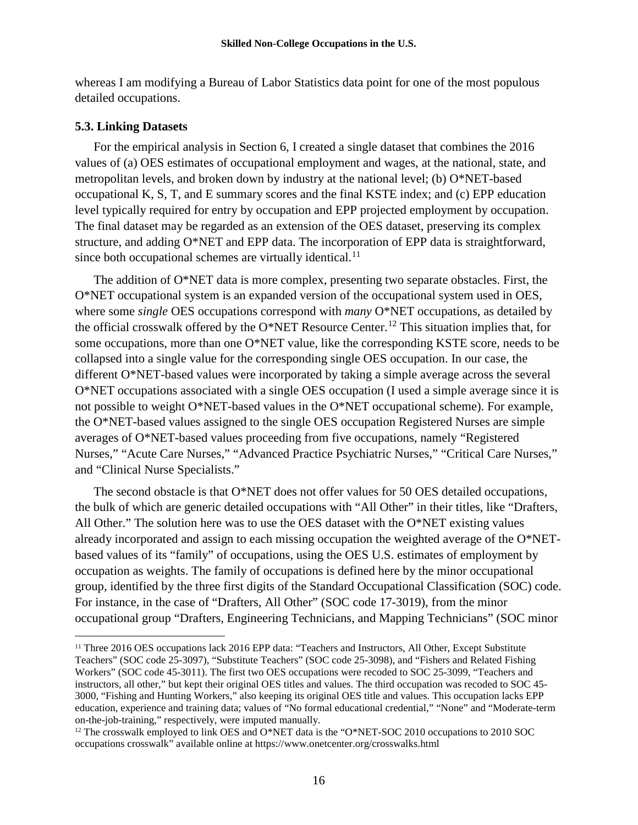whereas I am modifying a Bureau of Labor Statistics data point for one of the most populous detailed occupations.

#### **5.3. Linking Datasets**

For the empirical analysis in Section 6, I created a single dataset that combines the 2016 values of (a) OES estimates of occupational employment and wages, at the national, state, and metropolitan levels, and broken down by industry at the national level; (b) O\*NET-based occupational K, S, T, and E summary scores and the final KSTE index; and (c) EPP education level typically required for entry by occupation and EPP projected employment by occupation. The final dataset may be regarded as an extension of the OES dataset, preserving its complex structure, and adding O\*NET and EPP data. The incorporation of EPP data is straightforward, since both occupational schemes are virtually identical. $^{11}$  $^{11}$  $^{11}$ 

The addition of O\*NET data is more complex, presenting two separate obstacles. First, the O\*NET occupational system is an expanded version of the occupational system used in OES, where some *single* OES occupations correspond with *many* O\*NET occupations, as detailed by the official crosswalk offered by the O\*NET Resource Center.<sup>[12](#page-19-1)</sup> This situation implies that, for some occupations, more than one O\*NET value, like the corresponding KSTE score, needs to be collapsed into a single value for the corresponding single OES occupation. In our case, the different O\*NET-based values were incorporated by taking a simple average across the several O\*NET occupations associated with a single OES occupation (I used a simple average since it is not possible to weight O\*NET-based values in the O\*NET occupational scheme). For example, the O\*NET-based values assigned to the single OES occupation Registered Nurses are simple averages of O\*NET-based values proceeding from five occupations, namely "Registered Nurses," "Acute Care Nurses," "Advanced Practice Psychiatric Nurses," "Critical Care Nurses," and "Clinical Nurse Specialists."

The second obstacle is that O\*NET does not offer values for 50 OES detailed occupations, the bulk of which are generic detailed occupations with "All Other" in their titles, like "Drafters, All Other." The solution here was to use the OES dataset with the O\*NET existing values already incorporated and assign to each missing occupation the weighted average of the O\*NETbased values of its "family" of occupations, using the OES U.S. estimates of employment by occupation as weights. The family of occupations is defined here by the minor occupational group, identified by the three first digits of the Standard Occupational Classification (SOC) code. For instance, in the case of "Drafters, All Other" (SOC code 17-3019), from the minor occupational group "Drafters, Engineering Technicians, and Mapping Technicians" (SOC minor

<span id="page-19-0"></span><sup>&</sup>lt;sup>11</sup> Three 2016 OES occupations lack 2016 EPP data: "Teachers and Instructors, All Other, Except Substitute Teachers" (SOC code 25-3097), "Substitute Teachers" (SOC code 25-3098), and "Fishers and Related Fishing Workers" (SOC code 45-3011). The first two OES occupations were recoded to SOC 25-3099, "Teachers and instructors, all other," but kept their original OES titles and values. The third occupation was recoded to SOC 45- 3000, "Fishing and Hunting Workers," also keeping its original OES title and values. This occupation lacks EPP education, experience and training data; values of "No formal educational credential," "None" and "Moderate-term on-the-job-training," respectively, were imputed manually.

<span id="page-19-1"></span><sup>&</sup>lt;sup>12</sup> The crosswalk employed to link OES and O\*NET data is the "O\*NET-SOC 2010 occupations to 2010 SOC occupations crosswalk" available online at https://www.onetcenter.org/crosswalks.html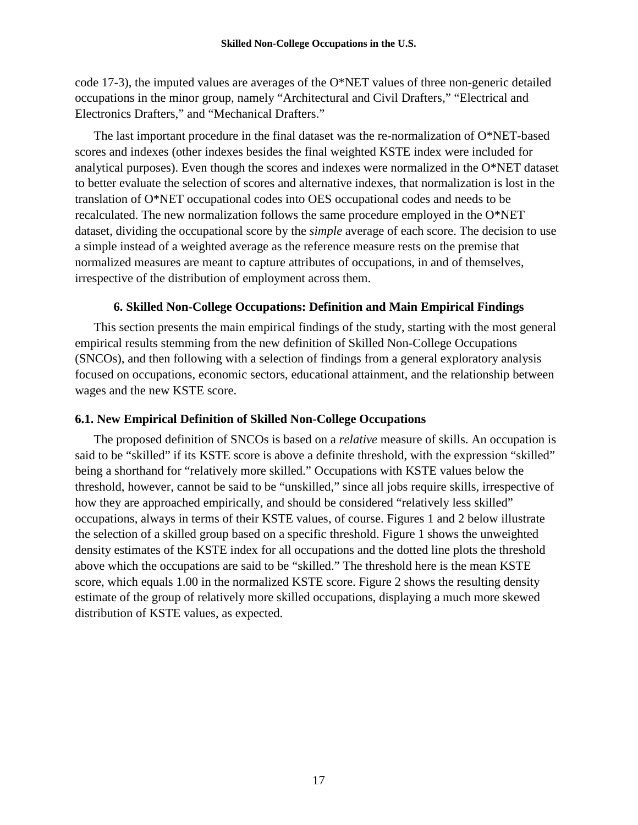code 17-3), the imputed values are averages of the O\*NET values of three non-generic detailed occupations in the minor group, namely "Architectural and Civil Drafters," "Electrical and Electronics Drafters," and "Mechanical Drafters."

The last important procedure in the final dataset was the re-normalization of O\*NET-based scores and indexes (other indexes besides the final weighted KSTE index were included for analytical purposes). Even though the scores and indexes were normalized in the O\*NET dataset to better evaluate the selection of scores and alternative indexes, that normalization is lost in the translation of O\*NET occupational codes into OES occupational codes and needs to be recalculated. The new normalization follows the same procedure employed in the O\*NET dataset, dividing the occupational score by the *simple* average of each score. The decision to use a simple instead of a weighted average as the reference measure rests on the premise that normalized measures are meant to capture attributes of occupations, in and of themselves, irrespective of the distribution of employment across them.

## **6. Skilled Non-College Occupations: Definition and Main Empirical Findings**

This section presents the main empirical findings of the study, starting with the most general empirical results stemming from the new definition of Skilled Non-College Occupations (SNCOs), and then following with a selection of findings from a general exploratory analysis focused on occupations, economic sectors, educational attainment, and the relationship between wages and the new KSTE score.

### **6.1. New Empirical Definition of Skilled Non-College Occupations**

The proposed definition of SNCOs is based on a *relative* measure of skills. An occupation is said to be "skilled" if its KSTE score is above a definite threshold, with the expression "skilled" being a shorthand for "relatively more skilled." Occupations with KSTE values below the threshold, however, cannot be said to be "unskilled," since all jobs require skills, irrespective of how they are approached empirically, and should be considered "relatively less skilled" occupations, always in terms of their KSTE values, of course. Figures 1 and 2 below illustrate the selection of a skilled group based on a specific threshold. Figure 1 shows the unweighted density estimates of the KSTE index for all occupations and the dotted line plots the threshold above which the occupations are said to be "skilled." The threshold here is the mean KSTE score, which equals 1.00 in the normalized KSTE score. Figure 2 shows the resulting density estimate of the group of relatively more skilled occupations, displaying a much more skewed distribution of KSTE values, as expected.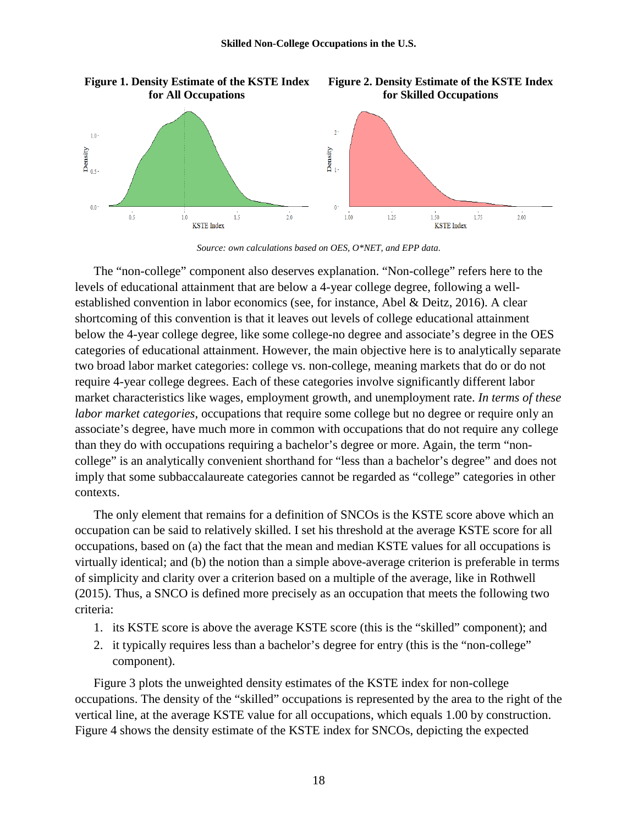

*Source: own calculations based on OES, O\*NET, and EPP data.*

The "non-college" component also deserves explanation. "Non-college" refers here to the levels of educational attainment that are below a 4-year college degree, following a wellestablished convention in labor economics (see, for instance, Abel & Deitz, 2016). A clear shortcoming of this convention is that it leaves out levels of college educational attainment below the 4-year college degree, like some college-no degree and associate's degree in the OES categories of educational attainment. However, the main objective here is to analytically separate two broad labor market categories: college vs. non-college, meaning markets that do or do not require 4-year college degrees. Each of these categories involve significantly different labor market characteristics like wages, employment growth, and unemployment rate. *In terms of these labor market categories*, occupations that require some college but no degree or require only an associate's degree, have much more in common with occupations that do not require any college than they do with occupations requiring a bachelor's degree or more. Again, the term "noncollege" is an analytically convenient shorthand for "less than a bachelor's degree" and does not imply that some subbaccalaureate categories cannot be regarded as "college" categories in other contexts.

The only element that remains for a definition of SNCOs is the KSTE score above which an occupation can be said to relatively skilled. I set his threshold at the average KSTE score for all occupations, based on (a) the fact that the mean and median KSTE values for all occupations is virtually identical; and (b) the notion than a simple above-average criterion is preferable in terms of simplicity and clarity over a criterion based on a multiple of the average, like in Rothwell (2015). Thus, a SNCO is defined more precisely as an occupation that meets the following two criteria:

- 1. its KSTE score is above the average KSTE score (this is the "skilled" component); and
- 2. it typically requires less than a bachelor's degree for entry (this is the "non-college" component).

Figure 3 plots the unweighted density estimates of the KSTE index for non-college occupations. The density of the "skilled" occupations is represented by the area to the right of the vertical line, at the average KSTE value for all occupations, which equals 1.00 by construction. Figure 4 shows the density estimate of the KSTE index for SNCOs, depicting the expected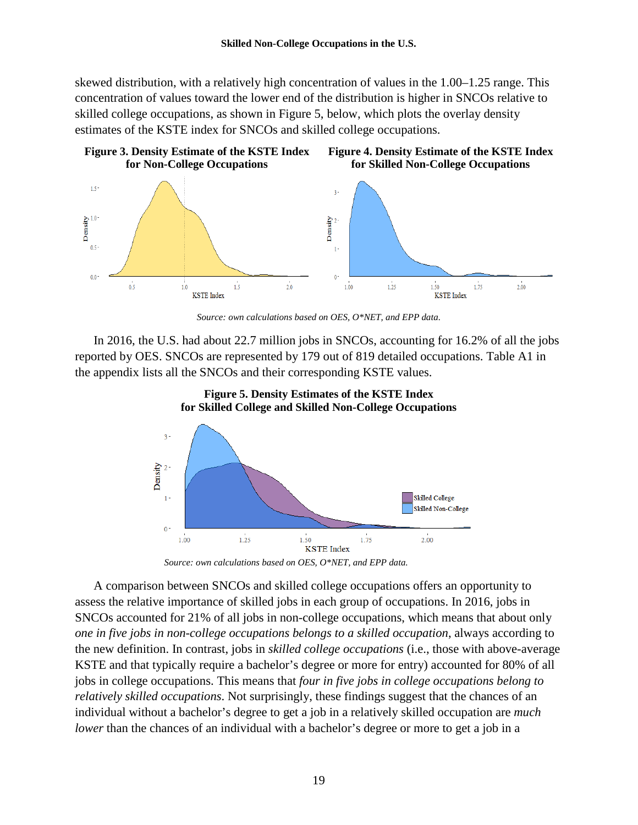skewed distribution, with a relatively high concentration of values in the 1.00–1.25 range. This concentration of values toward the lower end of the distribution is higher in SNCOs relative to skilled college occupations, as shown in Figure 5, below, which plots the overlay density estimates of the KSTE index for SNCOs and skilled college occupations.



*Source: own calculations based on OES, O\*NET, and EPP data.*

In 2016, the U.S. had about 22.7 million jobs in SNCOs, accounting for 16.2% of all the jobs reported by OES. SNCOs are represented by 179 out of 819 detailed occupations. Table A1 in the appendix lists all the SNCOs and their corresponding KSTE values.





*Source: own calculations based on OES, O\*NET, and EPP data.*

A comparison between SNCOs and skilled college occupations offers an opportunity to assess the relative importance of skilled jobs in each group of occupations. In 2016, jobs in SNCOs accounted for 21% of all jobs in non-college occupations, which means that about only *one in five jobs in non-college occupations belongs to a skilled occupation*, always according to the new definition. In contrast, jobs in *skilled college occupations* (i.e., those with above-average KSTE and that typically require a bachelor's degree or more for entry) accounted for 80% of all jobs in college occupations. This means that *four in five jobs in college occupations belong to relatively skilled occupations*. Not surprisingly, these findings suggest that the chances of an individual without a bachelor's degree to get a job in a relatively skilled occupation are *much lower* than the chances of an individual with a bachelor's degree or more to get a job in a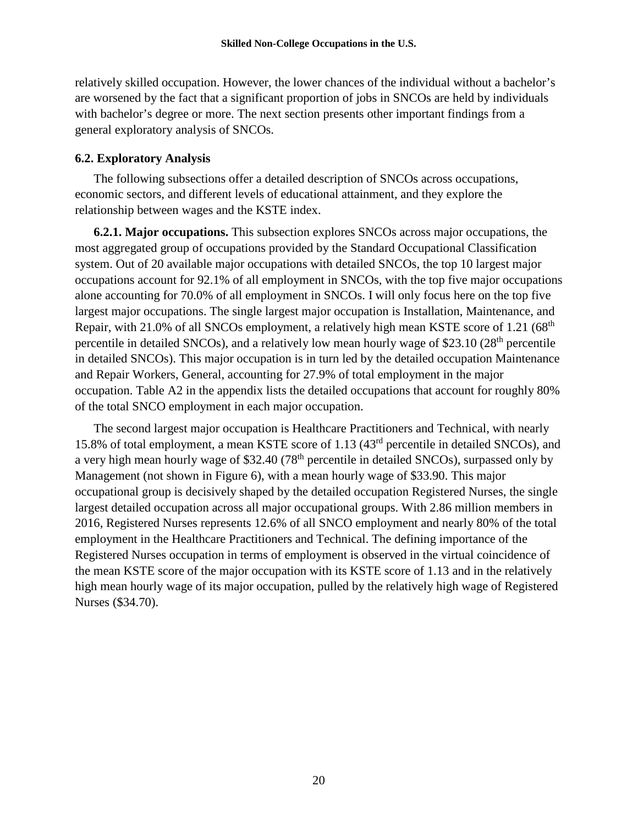relatively skilled occupation. However, the lower chances of the individual without a bachelor's are worsened by the fact that a significant proportion of jobs in SNCOs are held by individuals with bachelor's degree or more. The next section presents other important findings from a general exploratory analysis of SNCOs.

# **6.2. Exploratory Analysis**

The following subsections offer a detailed description of SNCOs across occupations, economic sectors, and different levels of educational attainment, and they explore the relationship between wages and the KSTE index.

**6.2.1. Major occupations.** This subsection explores SNCOs across major occupations, the most aggregated group of occupations provided by the Standard Occupational Classification system. Out of 20 available major occupations with detailed SNCOs, the top 10 largest major occupations account for 92.1% of all employment in SNCOs, with the top five major occupations alone accounting for 70.0% of all employment in SNCOs. I will only focus here on the top five largest major occupations. The single largest major occupation is Installation, Maintenance, and Repair, with 21.0% of all SNCOs employment, a relatively high mean KSTE score of 1.21 (68<sup>th</sup>) percentile in detailed SNCOs), and a relatively low mean hourly wage of \$23.10 ( $28<sup>th</sup>$  percentile in detailed SNCOs). This major occupation is in turn led by the detailed occupation Maintenance and Repair Workers, General, accounting for 27.9% of total employment in the major occupation. Table A2 in the appendix lists the detailed occupations that account for roughly 80% of the total SNCO employment in each major occupation.

The second largest major occupation is Healthcare Practitioners and Technical, with nearly 15.8% of total employment, a mean KSTE score of 1.13 (43rd percentile in detailed SNCOs), and a very high mean hourly wage of \$32.40 (78<sup>th</sup> percentile in detailed SNCOs), surpassed only by Management (not shown in Figure 6), with a mean hourly wage of \$33.90. This major occupational group is decisively shaped by the detailed occupation Registered Nurses, the single largest detailed occupation across all major occupational groups. With 2.86 million members in 2016, Registered Nurses represents 12.6% of all SNCO employment and nearly 80% of the total employment in the Healthcare Practitioners and Technical. The defining importance of the Registered Nurses occupation in terms of employment is observed in the virtual coincidence of the mean KSTE score of the major occupation with its KSTE score of 1.13 and in the relatively high mean hourly wage of its major occupation, pulled by the relatively high wage of Registered Nurses (\$34.70).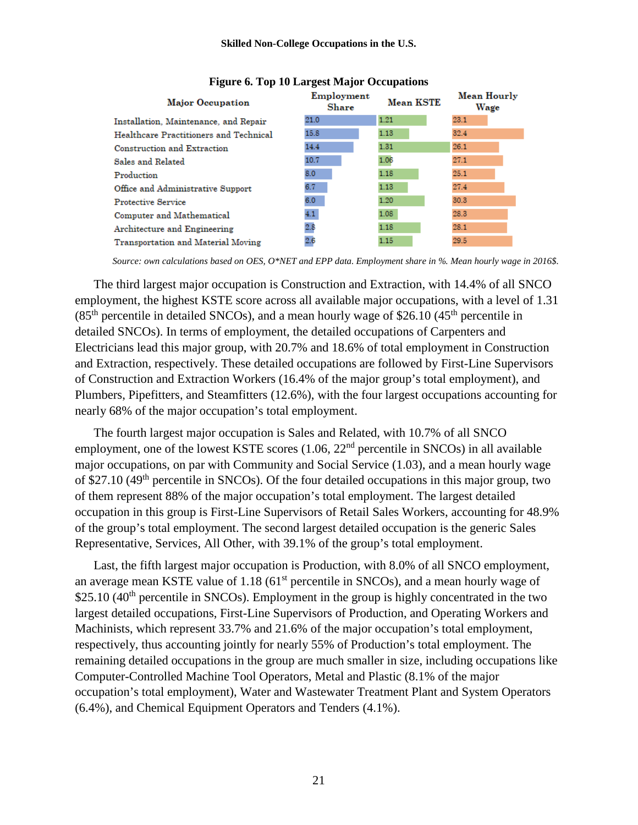| <b>Major Occupation</b>                | Employment<br>Share | <b>Mean KSTE</b> | Mean Hourly<br>Wage |
|----------------------------------------|---------------------|------------------|---------------------|
| Installation, Maintenance, and Repair  | 21.0                | 1.21             | 23.1                |
| Healthcare Practitioners and Technical | 15.8                | 1.13             | 32.4                |
| Construction and Extraction            | 14.4                | 1.31             | 26.1                |
| Sales and Related                      | 10.7                | 1.06             | 27.1                |
| Production                             | 8.0                 | 1.18             | 25.1                |
| Office and Administrative Support      | 6.7                 | 1.13             | 27.4                |
| <b>Protective Service</b>              | 6.0                 | 1.20             | 30.3                |
| Computer and Mathematical              | 4.1                 | 1.08             | 28.3                |
| Architecture and Engineering           | 2.8                 | 1.18             | 28.1                |
| Transportation and Material Moving     | 2.6                 | 1.15             | 29.5                |

#### **Figure 6. Top 10 Largest Major Occupations**

*Source: own calculations based on OES, O\*NET and EPP data. Employment share in %. Mean hourly wage in 2016\$.*

The third largest major occupation is Construction and Extraction, with 14.4% of all SNCO employment, the highest KSTE score across all available major occupations, with a level of 1.31  $(85<sup>th</sup>$  percentile in detailed SNCOs), and a mean hourly wage of \$26.10 (45<sup>th</sup> percentile in detailed SNCOs). In terms of employment, the detailed occupations of Carpenters and Electricians lead this major group, with 20.7% and 18.6% of total employment in Construction and Extraction, respectively. These detailed occupations are followed by First-Line Supervisors of Construction and Extraction Workers (16.4% of the major group's total employment), and Plumbers, Pipefitters, and Steamfitters (12.6%), with the four largest occupations accounting for nearly 68% of the major occupation's total employment.

The fourth largest major occupation is Sales and Related, with 10.7% of all SNCO employment, one of the lowest KSTE scores  $(1.06, 22<sup>nd</sup>$  percentile in SNCOs) in all available major occupations, on par with Community and Social Service (1.03), and a mean hourly wage of \$27.10 (49<sup>th</sup> percentile in SNCOs). Of the four detailed occupations in this major group, two of them represent 88% of the major occupation's total employment. The largest detailed occupation in this group is First-Line Supervisors of Retail Sales Workers, accounting for 48.9% of the group's total employment. The second largest detailed occupation is the generic Sales Representative, Services, All Other, with 39.1% of the group's total employment.

Last, the fifth largest major occupation is Production, with 8.0% of all SNCO employment, an average mean KSTE value of  $1.18$  (61<sup>st</sup> percentile in SNCOs), and a mean hourly wage of  $$25.10$  (40<sup>th</sup> percentile in SNCOs). Employment in the group is highly concentrated in the two largest detailed occupations, First-Line Supervisors of Production, and Operating Workers and Machinists, which represent 33.7% and 21.6% of the major occupation's total employment, respectively, thus accounting jointly for nearly 55% of Production's total employment. The remaining detailed occupations in the group are much smaller in size, including occupations like Computer-Controlled Machine Tool Operators, Metal and Plastic (8.1% of the major occupation's total employment), Water and Wastewater Treatment Plant and System Operators (6.4%), and Chemical Equipment Operators and Tenders (4.1%).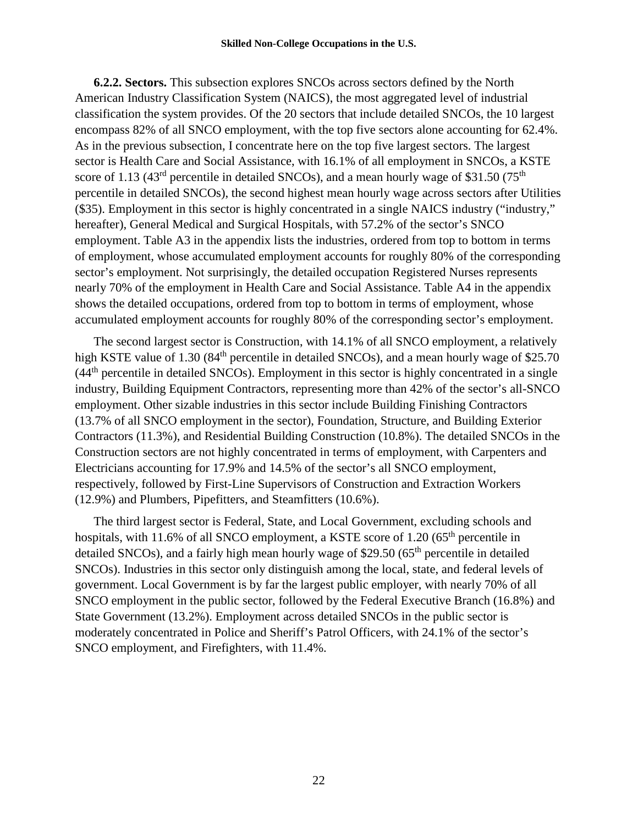**6.2.2. Sectors.** This subsection explores SNCOs across sectors defined by the North American Industry Classification System (NAICS), the most aggregated level of industrial classification the system provides. Of the 20 sectors that include detailed SNCOs, the 10 largest encompass 82% of all SNCO employment, with the top five sectors alone accounting for 62.4%. As in the previous subsection, I concentrate here on the top five largest sectors. The largest sector is Health Care and Social Assistance, with 16.1% of all employment in SNCOs, a KSTE score of 1.13 (43<sup>rd</sup> percentile in detailed SNCOs), and a mean hourly wage of \$31.50 (75<sup>th</sup>) percentile in detailed SNCOs), the second highest mean hourly wage across sectors after Utilities (\$35). Employment in this sector is highly concentrated in a single NAICS industry ("industry," hereafter), General Medical and Surgical Hospitals, with 57.2% of the sector's SNCO employment. Table A3 in the appendix lists the industries, ordered from top to bottom in terms of employment, whose accumulated employment accounts for roughly 80% of the corresponding sector's employment. Not surprisingly, the detailed occupation Registered Nurses represents nearly 70% of the employment in Health Care and Social Assistance. Table A4 in the appendix shows the detailed occupations, ordered from top to bottom in terms of employment, whose accumulated employment accounts for roughly 80% of the corresponding sector's employment.

The second largest sector is Construction, with 14.1% of all SNCO employment, a relatively high KSTE value of 1.30 (84<sup>th</sup> percentile in detailed SNCOs), and a mean hourly wage of \$25.70  $(44<sup>th</sup>$  percentile in detailed SNCOs). Employment in this sector is highly concentrated in a single industry, Building Equipment Contractors, representing more than 42% of the sector's all-SNCO employment. Other sizable industries in this sector include Building Finishing Contractors (13.7% of all SNCO employment in the sector), Foundation, Structure, and Building Exterior Contractors (11.3%), and Residential Building Construction (10.8%). The detailed SNCOs in the Construction sectors are not highly concentrated in terms of employment, with Carpenters and Electricians accounting for 17.9% and 14.5% of the sector's all SNCO employment, respectively, followed by First-Line Supervisors of Construction and Extraction Workers (12.9%) and Plumbers, Pipefitters, and Steamfitters (10.6%).

The third largest sector is Federal, State, and Local Government, excluding schools and hospitals, with 11.6% of all SNCO employment, a KSTE score of 1.20  $(65<sup>th</sup>$  percentile in detailed SNCOs), and a fairly high mean hourly wage of \$29.50 ( $65<sup>th</sup>$  percentile in detailed SNCOs). Industries in this sector only distinguish among the local, state, and federal levels of government. Local Government is by far the largest public employer, with nearly 70% of all SNCO employment in the public sector, followed by the Federal Executive Branch (16.8%) and State Government (13.2%). Employment across detailed SNCOs in the public sector is moderately concentrated in Police and Sheriff's Patrol Officers, with 24.1% of the sector's SNCO employment, and Firefighters, with 11.4%.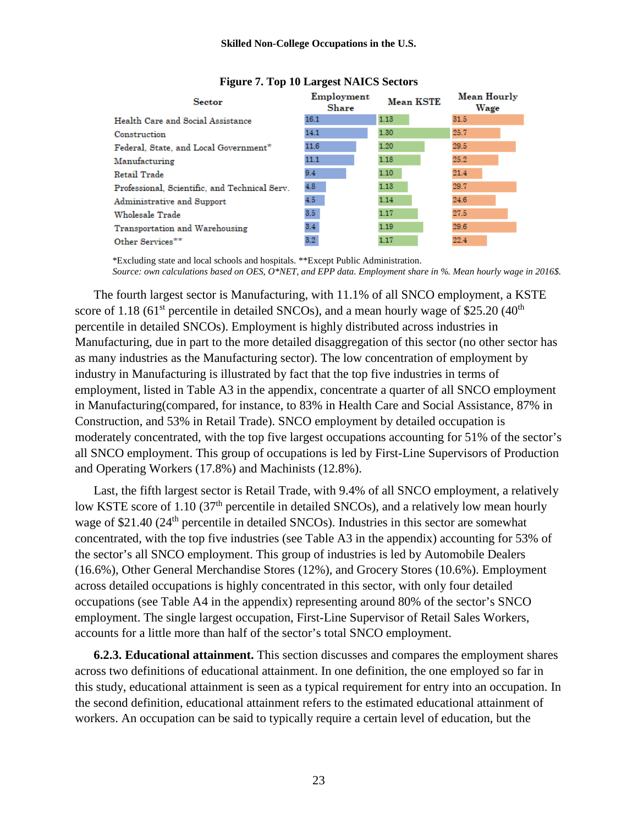| <b>Sector</b>                                 | Employment<br><b>Share</b> | <b>Mean KSTE</b> | Mean Hourly<br>Wage |
|-----------------------------------------------|----------------------------|------------------|---------------------|
| Health Care and Social Assistance             | 16.1                       | 1.13             | 31.5                |
| Construction                                  | 14.1                       | 1.30             | 25.7                |
| Federal, State, and Local Government*         | 11.6                       | 1.20             | 29.5                |
| Manufacturing                                 | 11.1                       | 1.18             | 25.2                |
| Retail Trade                                  | 9.4                        | 1.10             | 21.4                |
| Professional, Scientific, and Technical Serv. | 4.8                        | 1.13             | 29.7                |
| Administrative and Support                    | 4.5                        | 1.14             | 24.6                |
| Wholesale Trade                               | 3.5 <sub>1</sub>           | 1.17             | 27.5                |
| Transportation and Warehousing                | 3.4 <sub>1</sub>           | 1.19             | 29.6                |
| Other Services**                              | 3.2 <sub>1</sub>           | 1.17             | 22.4                |

#### **Figure 7. Top 10 Largest NAICS Sectors**

\*Excluding state and local schools and hospitals. \*\*Except Public Administration. *Source: own calculations based on OES, O\*NET, and EPP data. Employment share in %. Mean hourly wage in 2016\$.*

The fourth largest sector is Manufacturing, with 11.1% of all SNCO employment, a KSTE score of 1.18 (61<sup>st</sup> percentile in detailed SNCOs), and a mean hourly wage of \$25.20 (40<sup>th</sup>) percentile in detailed SNCOs). Employment is highly distributed across industries in Manufacturing, due in part to the more detailed disaggregation of this sector (no other sector has as many industries as the Manufacturing sector). The low concentration of employment by industry in Manufacturing is illustrated by fact that the top five industries in terms of employment, listed in Table A3 in the appendix, concentrate a quarter of all SNCO employment in Manufacturing(compared, for instance, to 83% in Health Care and Social Assistance, 87% in Construction, and 53% in Retail Trade). SNCO employment by detailed occupation is moderately concentrated, with the top five largest occupations accounting for 51% of the sector's all SNCO employment. This group of occupations is led by First-Line Supervisors of Production and Operating Workers (17.8%) and Machinists (12.8%).

Last, the fifth largest sector is Retail Trade, with 9.4% of all SNCO employment, a relatively low KSTE score of 1.10 (37<sup>th</sup> percentile in detailed SNCOs), and a relatively low mean hourly wage of \$21.40 (24<sup>th</sup> percentile in detailed SNCOs). Industries in this sector are somewhat concentrated, with the top five industries (see Table A3 in the appendix) accounting for 53% of the sector's all SNCO employment. This group of industries is led by Automobile Dealers (16.6%), Other General Merchandise Stores (12%), and Grocery Stores (10.6%). Employment across detailed occupations is highly concentrated in this sector, with only four detailed occupations (see Table A4 in the appendix) representing around 80% of the sector's SNCO employment. The single largest occupation, First-Line Supervisor of Retail Sales Workers, accounts for a little more than half of the sector's total SNCO employment.

**6.2.3. Educational attainment.** This section discusses and compares the employment shares across two definitions of educational attainment. In one definition, the one employed so far in this study, educational attainment is seen as a typical requirement for entry into an occupation. In the second definition, educational attainment refers to the estimated educational attainment of workers. An occupation can be said to typically require a certain level of education, but the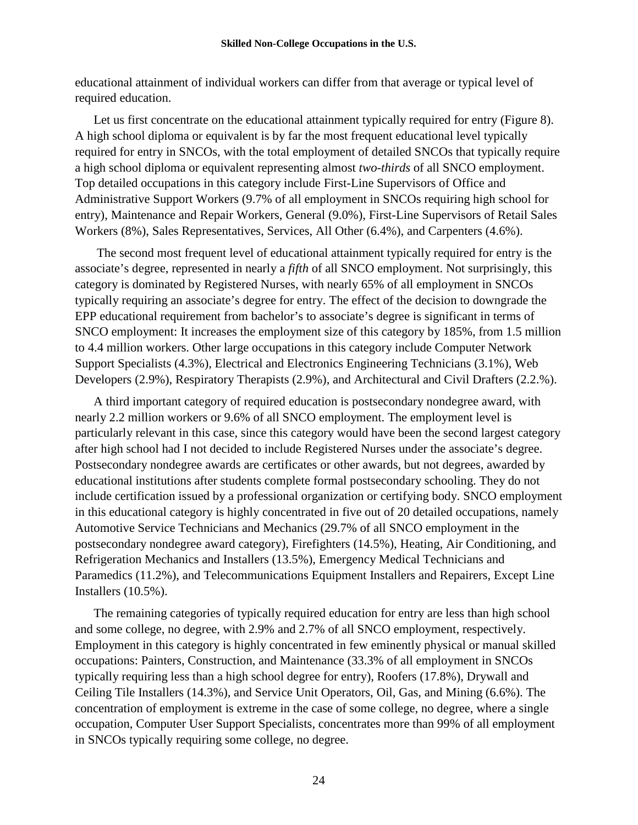educational attainment of individual workers can differ from that average or typical level of required education.

Let us first concentrate on the educational attainment typically required for entry (Figure 8). A high school diploma or equivalent is by far the most frequent educational level typically required for entry in SNCOs, with the total employment of detailed SNCOs that typically require a high school diploma or equivalent representing almost *two-thirds* of all SNCO employment. Top detailed occupations in this category include First-Line Supervisors of Office and Administrative Support Workers (9.7% of all employment in SNCOs requiring high school for entry), Maintenance and Repair Workers, General (9.0%), First-Line Supervisors of Retail Sales Workers (8%), Sales Representatives, Services, All Other (6.4%), and Carpenters (4.6%).

The second most frequent level of educational attainment typically required for entry is the associate's degree, represented in nearly a *fifth* of all SNCO employment. Not surprisingly, this category is dominated by Registered Nurses, with nearly 65% of all employment in SNCOs typically requiring an associate's degree for entry. The effect of the decision to downgrade the EPP educational requirement from bachelor's to associate's degree is significant in terms of SNCO employment: It increases the employment size of this category by 185%, from 1.5 million to 4.4 million workers. Other large occupations in this category include Computer Network Support Specialists (4.3%), Electrical and Electronics Engineering Technicians (3.1%), Web Developers (2.9%), Respiratory Therapists (2.9%), and Architectural and Civil Drafters (2.2.%).

A third important category of required education is postsecondary nondegree award, with nearly 2.2 million workers or 9.6% of all SNCO employment. The employment level is particularly relevant in this case, since this category would have been the second largest category after high school had I not decided to include Registered Nurses under the associate's degree. Postsecondary nondegree awards are certificates or other awards, but not degrees, awarded by educational institutions after students complete formal postsecondary schooling. They do not include certification issued by a professional organization or certifying body. SNCO employment in this educational category is highly concentrated in five out of 20 detailed occupations, namely Automotive Service Technicians and Mechanics (29.7% of all SNCO employment in the postsecondary nondegree award category), Firefighters (14.5%), Heating, Air Conditioning, and Refrigeration Mechanics and Installers (13.5%), Emergency Medical Technicians and Paramedics (11.2%), and Telecommunications Equipment Installers and Repairers, Except Line Installers (10.5%).

The remaining categories of typically required education for entry are less than high school and some college, no degree, with 2.9% and 2.7% of all SNCO employment, respectively. Employment in this category is highly concentrated in few eminently physical or manual skilled occupations: Painters, Construction, and Maintenance (33.3% of all employment in SNCOs typically requiring less than a high school degree for entry), Roofers (17.8%), Drywall and Ceiling Tile Installers (14.3%), and Service Unit Operators, Oil, Gas, and Mining (6.6%). The concentration of employment is extreme in the case of some college, no degree, where a single occupation, Computer User Support Specialists, concentrates more than 99% of all employment in SNCOs typically requiring some college, no degree.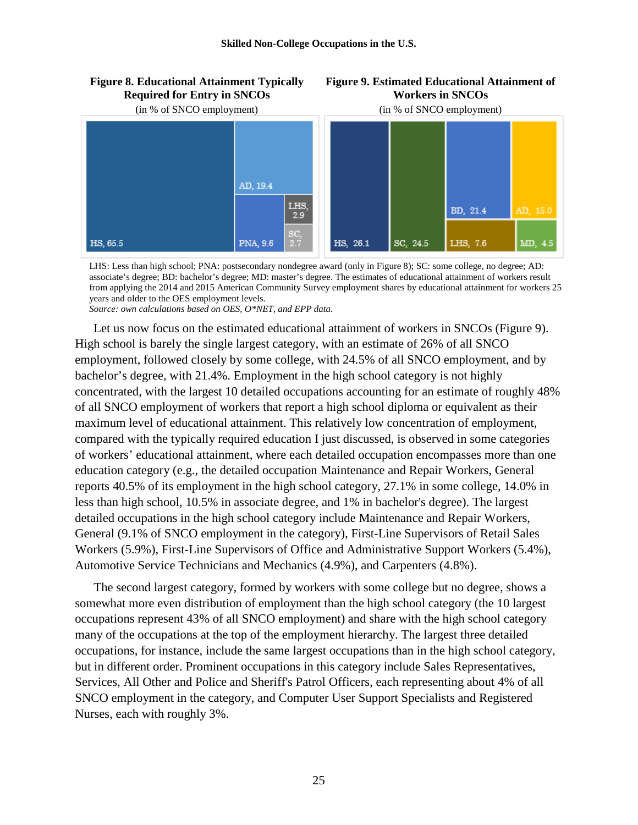

**Figure 9. Estimated Educational Attainment of Workers in SNCOs**

LHS: Less than high school; PNA: postsecondary nondegree award (only in Figure 8); SC: some college, no degree; AD: associate's degree; BD: bachelor's degree; MD: master's degree. The estimates of educational attainment of workers result from applying the 2014 and 2015 American Community Survey employment shares by educational attainment for workers 25 years and older to the OES employment levels.

*Source: own calculations based on OES, O\*NET, and EPP data.*

**Figure 8. Educational Attainment Typically** 

Let us now focus on the estimated educational attainment of workers in SNCOs (Figure 9). High school is barely the single largest category, with an estimate of 26% of all SNCO employment, followed closely by some college, with 24.5% of all SNCO employment, and by bachelor's degree, with 21.4%. Employment in the high school category is not highly concentrated, with the largest 10 detailed occupations accounting for an estimate of roughly 48% of all SNCO employment of workers that report a high school diploma or equivalent as their maximum level of educational attainment. This relatively low concentration of employment, compared with the typically required education I just discussed, is observed in some categories of workers' educational attainment, where each detailed occupation encompasses more than one education category (e.g., the detailed occupation Maintenance and Repair Workers, General reports 40.5% of its employment in the high school category, 27.1% in some college, 14.0% in less than high school, 10.5% in associate degree, and 1% in bachelor's degree). The largest detailed occupations in the high school category include Maintenance and Repair Workers, General (9.1% of SNCO employment in the category), First-Line Supervisors of Retail Sales Workers (5.9%), First-Line Supervisors of Office and Administrative Support Workers (5.4%), Automotive Service Technicians and Mechanics (4.9%), and Carpenters (4.8%).

The second largest category, formed by workers with some college but no degree, shows a somewhat more even distribution of employment than the high school category (the 10 largest occupations represent 43% of all SNCO employment) and share with the high school category many of the occupations at the top of the employment hierarchy. The largest three detailed occupations, for instance, include the same largest occupations than in the high school category, but in different order. Prominent occupations in this category include Sales Representatives, Services, All Other and Police and Sheriff's Patrol Officers, each representing about 4% of all SNCO employment in the category, and Computer User Support Specialists and Registered Nurses, each with roughly 3%.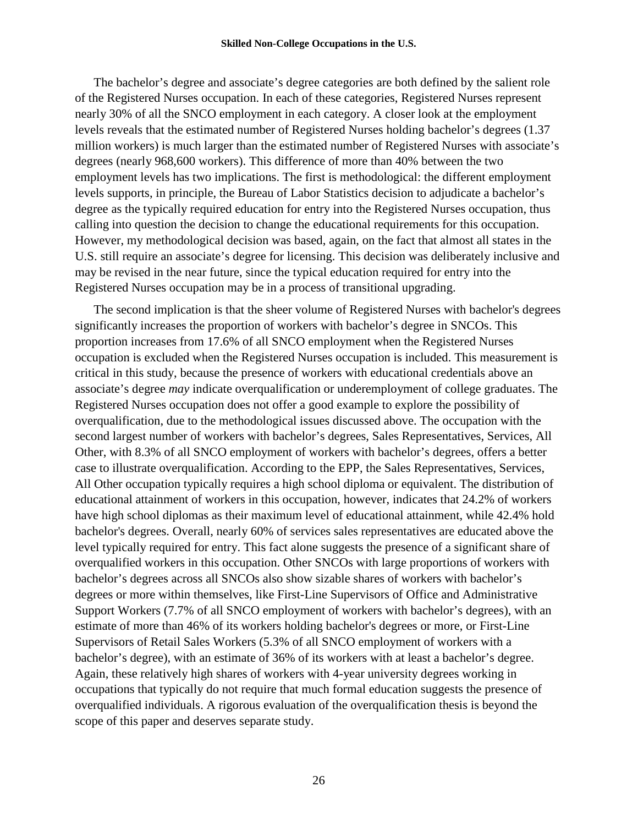The bachelor's degree and associate's degree categories are both defined by the salient role of the Registered Nurses occupation. In each of these categories, Registered Nurses represent nearly 30% of all the SNCO employment in each category. A closer look at the employment levels reveals that the estimated number of Registered Nurses holding bachelor's degrees (1.37 million workers) is much larger than the estimated number of Registered Nurses with associate's degrees (nearly 968,600 workers). This difference of more than 40% between the two employment levels has two implications. The first is methodological: the different employment levels supports, in principle, the Bureau of Labor Statistics decision to adjudicate a bachelor's degree as the typically required education for entry into the Registered Nurses occupation, thus calling into question the decision to change the educational requirements for this occupation. However, my methodological decision was based, again, on the fact that almost all states in the U.S. still require an associate's degree for licensing. This decision was deliberately inclusive and may be revised in the near future, since the typical education required for entry into the Registered Nurses occupation may be in a process of transitional upgrading.

The second implication is that the sheer volume of Registered Nurses with bachelor's degrees significantly increases the proportion of workers with bachelor's degree in SNCOs. This proportion increases from 17.6% of all SNCO employment when the Registered Nurses occupation is excluded when the Registered Nurses occupation is included. This measurement is critical in this study, because the presence of workers with educational credentials above an associate's degree *may* indicate overqualification or underemployment of college graduates. The Registered Nurses occupation does not offer a good example to explore the possibility of overqualification, due to the methodological issues discussed above. The occupation with the second largest number of workers with bachelor's degrees, Sales Representatives, Services, All Other, with 8.3% of all SNCO employment of workers with bachelor's degrees, offers a better case to illustrate overqualification. According to the EPP, the Sales Representatives, Services, All Other occupation typically requires a high school diploma or equivalent. The distribution of educational attainment of workers in this occupation, however, indicates that 24.2% of workers have high school diplomas as their maximum level of educational attainment, while 42.4% hold bachelor's degrees. Overall, nearly 60% of services sales representatives are educated above the level typically required for entry. This fact alone suggests the presence of a significant share of overqualified workers in this occupation. Other SNCOs with large proportions of workers with bachelor's degrees across all SNCOs also show sizable shares of workers with bachelor's degrees or more within themselves, like First-Line Supervisors of Office and Administrative Support Workers (7.7% of all SNCO employment of workers with bachelor's degrees), with an estimate of more than 46% of its workers holding bachelor's degrees or more, or First-Line Supervisors of Retail Sales Workers (5.3% of all SNCO employment of workers with a bachelor's degree), with an estimate of 36% of its workers with at least a bachelor's degree. Again, these relatively high shares of workers with 4-year university degrees working in occupations that typically do not require that much formal education suggests the presence of overqualified individuals. A rigorous evaluation of the overqualification thesis is beyond the scope of this paper and deserves separate study.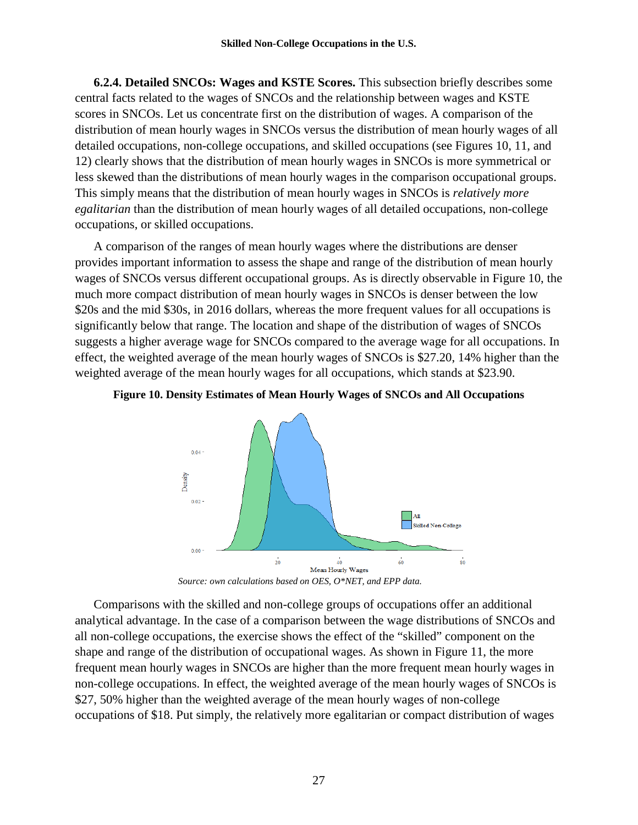**6.2.4. Detailed SNCOs: Wages and KSTE Scores.** This subsection briefly describes some central facts related to the wages of SNCOs and the relationship between wages and KSTE scores in SNCOs. Let us concentrate first on the distribution of wages. A comparison of the distribution of mean hourly wages in SNCOs versus the distribution of mean hourly wages of all detailed occupations, non-college occupations, and skilled occupations (see Figures 10, 11, and 12) clearly shows that the distribution of mean hourly wages in SNCOs is more symmetrical or less skewed than the distributions of mean hourly wages in the comparison occupational groups. This simply means that the distribution of mean hourly wages in SNCOs is *relatively more egalitarian* than the distribution of mean hourly wages of all detailed occupations, non-college occupations, or skilled occupations.

A comparison of the ranges of mean hourly wages where the distributions are denser provides important information to assess the shape and range of the distribution of mean hourly wages of SNCOs versus different occupational groups. As is directly observable in Figure 10, the much more compact distribution of mean hourly wages in SNCOs is denser between the low \$20s and the mid \$30s, in 2016 dollars, whereas the more frequent values for all occupations is significantly below that range. The location and shape of the distribution of wages of SNCOs suggests a higher average wage for SNCOs compared to the average wage for all occupations. In effect, the weighted average of the mean hourly wages of SNCOs is \$27.20, 14% higher than the weighted average of the mean hourly wages for all occupations, which stands at \$23.90.





*Source: own calculations based on OES, O\*NET, and EPP data.*

Comparisons with the skilled and non-college groups of occupations offer an additional analytical advantage. In the case of a comparison between the wage distributions of SNCOs and all non-college occupations, the exercise shows the effect of the "skilled" component on the shape and range of the distribution of occupational wages. As shown in Figure 11, the more frequent mean hourly wages in SNCOs are higher than the more frequent mean hourly wages in non-college occupations. In effect, the weighted average of the mean hourly wages of SNCOs is \$27, 50% higher than the weighted average of the mean hourly wages of non-college occupations of \$18. Put simply, the relatively more egalitarian or compact distribution of wages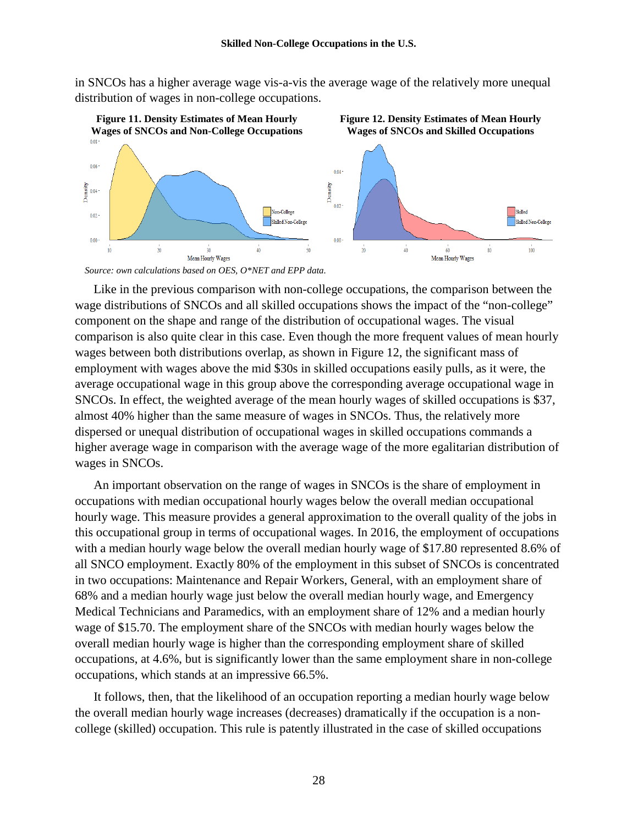in SNCOs has a higher average wage vis-a-vis the average wage of the relatively more unequal distribution of wages in non-college occupations.



*Source: own calculations based on OES, O\*NET and EPP data.*

Like in the previous comparison with non-college occupations, the comparison between the wage distributions of SNCOs and all skilled occupations shows the impact of the "non-college" component on the shape and range of the distribution of occupational wages. The visual comparison is also quite clear in this case. Even though the more frequent values of mean hourly wages between both distributions overlap, as shown in Figure 12, the significant mass of employment with wages above the mid \$30s in skilled occupations easily pulls, as it were, the average occupational wage in this group above the corresponding average occupational wage in SNCOs. In effect, the weighted average of the mean hourly wages of skilled occupations is \$37, almost 40% higher than the same measure of wages in SNCOs. Thus, the relatively more dispersed or unequal distribution of occupational wages in skilled occupations commands a higher average wage in comparison with the average wage of the more egalitarian distribution of wages in SNCOs.

An important observation on the range of wages in SNCOs is the share of employment in occupations with median occupational hourly wages below the overall median occupational hourly wage. This measure provides a general approximation to the overall quality of the jobs in this occupational group in terms of occupational wages. In 2016, the employment of occupations with a median hourly wage below the overall median hourly wage of \$17.80 represented 8.6% of all SNCO employment. Exactly 80% of the employment in this subset of SNCOs is concentrated in two occupations: Maintenance and Repair Workers, General, with an employment share of 68% and a median hourly wage just below the overall median hourly wage, and Emergency Medical Technicians and Paramedics, with an employment share of 12% and a median hourly wage of \$15.70. The employment share of the SNCOs with median hourly wages below the overall median hourly wage is higher than the corresponding employment share of skilled occupations, at 4.6%, but is significantly lower than the same employment share in non-college occupations, which stands at an impressive 66.5%.

It follows, then, that the likelihood of an occupation reporting a median hourly wage below the overall median hourly wage increases (decreases) dramatically if the occupation is a noncollege (skilled) occupation. This rule is patently illustrated in the case of skilled occupations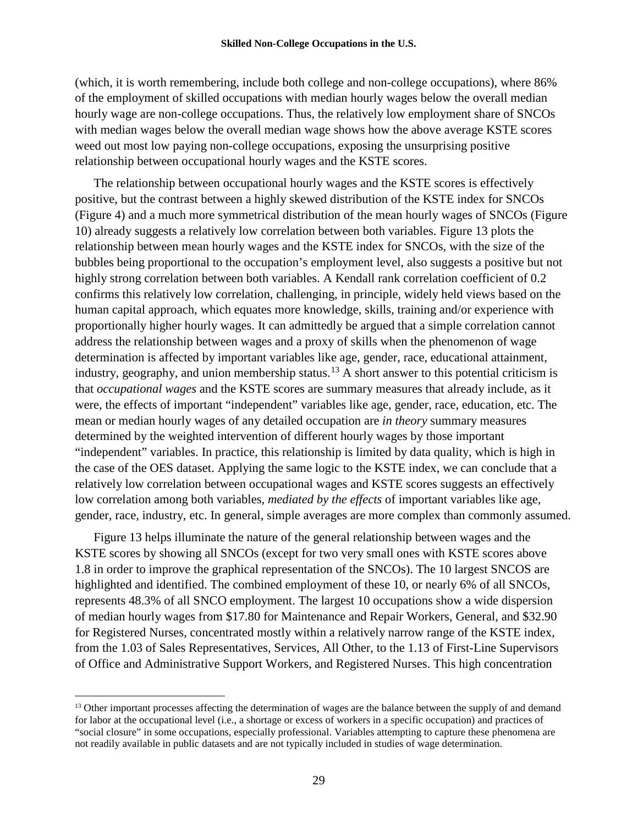(which, it is worth remembering, include both college and non-college occupations), where 86% of the employment of skilled occupations with median hourly wages below the overall median hourly wage are non-college occupations. Thus, the relatively low employment share of SNCOs with median wages below the overall median wage shows how the above average KSTE scores weed out most low paying non-college occupations, exposing the unsurprising positive relationship between occupational hourly wages and the KSTE scores.

The relationship between occupational hourly wages and the KSTE scores is effectively positive, but the contrast between a highly skewed distribution of the KSTE index for SNCOs (Figure 4) and a much more symmetrical distribution of the mean hourly wages of SNCOs (Figure 10) already suggests a relatively low correlation between both variables. Figure 13 plots the relationship between mean hourly wages and the KSTE index for SNCOs, with the size of the bubbles being proportional to the occupation's employment level, also suggests a positive but not highly strong correlation between both variables. A Kendall rank correlation coefficient of 0.2 confirms this relatively low correlation, challenging, in principle, widely held views based on the human capital approach, which equates more knowledge, skills, training and/or experience with proportionally higher hourly wages. It can admittedly be argued that a simple correlation cannot address the relationship between wages and a proxy of skills when the phenomenon of wage determination is affected by important variables like age, gender, race, educational attainment, industry, geography, and union membership status.<sup>[13](#page-32-0)</sup> A short answer to this potential criticism is that *occupational wages* and the KSTE scores are summary measures that already include, as it were, the effects of important "independent" variables like age, gender, race, education, etc. The mean or median hourly wages of any detailed occupation are *in theory* summary measures determined by the weighted intervention of different hourly wages by those important "independent" variables. In practice, this relationship is limited by data quality, which is high in the case of the OES dataset. Applying the same logic to the KSTE index, we can conclude that a relatively low correlation between occupational wages and KSTE scores suggests an effectively low correlation among both variables, *mediated by the effects* of important variables like age, gender, race, industry, etc. In general, simple averages are more complex than commonly assumed.

Figure 13 helps illuminate the nature of the general relationship between wages and the KSTE scores by showing all SNCOs (except for two very small ones with KSTE scores above 1.8 in order to improve the graphical representation of the SNCOs). The 10 largest SNCOS are highlighted and identified. The combined employment of these 10, or nearly 6% of all SNCOs, represents 48.3% of all SNCO employment. The largest 10 occupations show a wide dispersion of median hourly wages from \$17.80 for Maintenance and Repair Workers, General, and \$32.90 for Registered Nurses, concentrated mostly within a relatively narrow range of the KSTE index, from the 1.03 of Sales Representatives, Services, All Other, to the 1.13 of First-Line Supervisors of Office and Administrative Support Workers, and Registered Nurses. This high concentration

<span id="page-32-0"></span><sup>&</sup>lt;sup>13</sup> Other important processes affecting the determination of wages are the balance between the supply of and demand for labor at the occupational level (i.e., a shortage or excess of workers in a specific occupation) and practices of "social closure" in some occupations, especially professional. Variables attempting to capture these phenomena are not readily available in public datasets and are not typically included in studies of wage determination.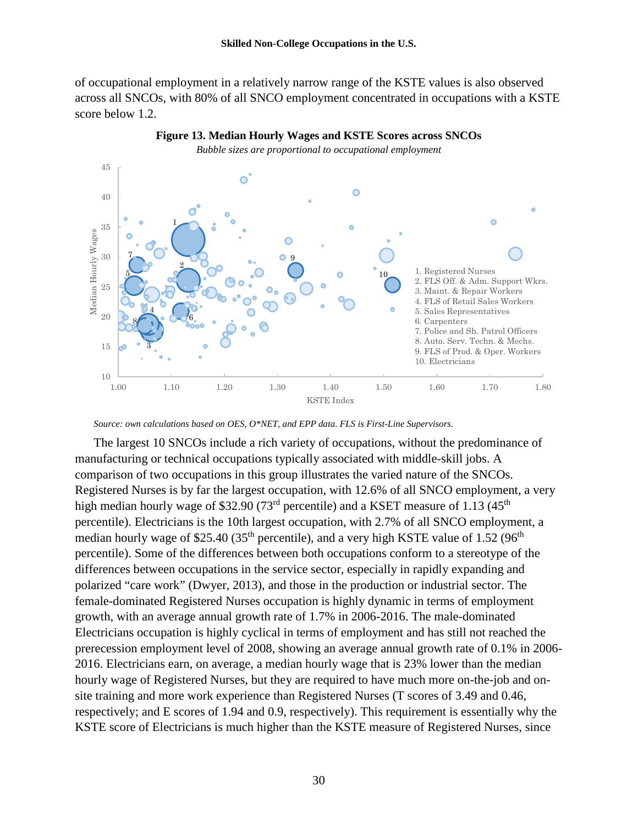of occupational employment in a relatively narrow range of the KSTE values is also observed across all SNCOs, with 80% of all SNCO employment concentrated in occupations with a KSTE score below 1.2.



**Figure 13. Median Hourly Wages and KSTE Scores across SNCOs**

*Source: own calculations based on OES, O\*NET, and EPP data. FLS is First-Line Supervisors.*

The largest 10 SNCOs include a rich variety of occupations, without the predominance of manufacturing or technical occupations typically associated with middle-skill jobs. A comparison of two occupations in this group illustrates the varied nature of the SNCOs. Registered Nurses is by far the largest occupation, with 12.6% of all SNCO employment, a very high median hourly wage of \$32.90 (73<sup>rd</sup> percentile) and a KSET measure of 1.13 (45<sup>th</sup>) percentile). Electricians is the 10th largest occupation, with 2.7% of all SNCO employment, a median hourly wage of \$25.40 (35<sup>th</sup> percentile), and a very high KSTE value of 1.52 (96<sup>th</sup>) percentile). Some of the differences between both occupations conform to a stereotype of the differences between occupations in the service sector, especially in rapidly expanding and polarized "care work" (Dwyer, 2013), and those in the production or industrial sector. The female-dominated Registered Nurses occupation is highly dynamic in terms of employment growth, with an average annual growth rate of 1.7% in 2006-2016. The male-dominated Electricians occupation is highly cyclical in terms of employment and has still not reached the prerecession employment level of 2008, showing an average annual growth rate of 0.1% in 2006- 2016. Electricians earn, on average, a median hourly wage that is 23% lower than the median hourly wage of Registered Nurses, but they are required to have much more on-the-job and onsite training and more work experience than Registered Nurses (T scores of 3.49 and 0.46, respectively; and E scores of 1.94 and 0.9, respectively). This requirement is essentially why the KSTE score of Electricians is much higher than the KSTE measure of Registered Nurses, since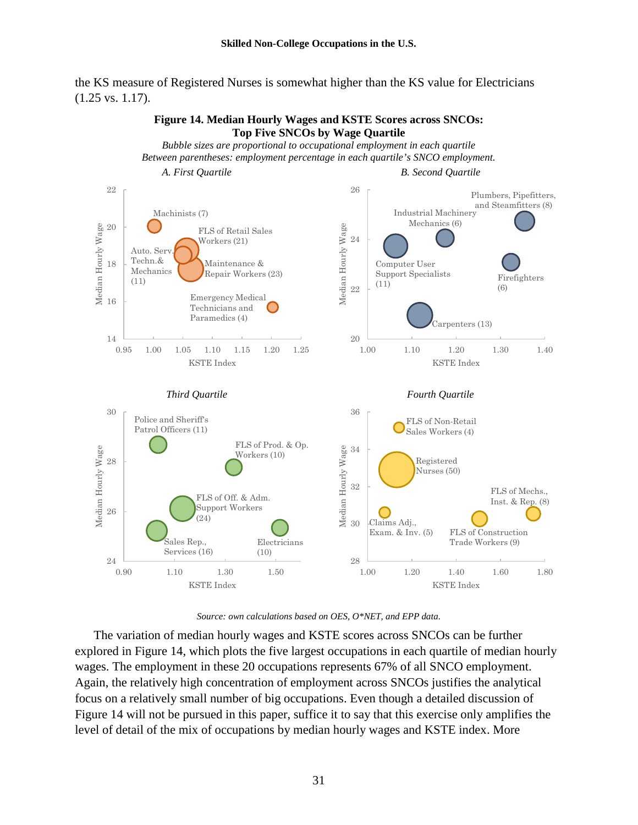the KS measure of Registered Nurses is somewhat higher than the KS value for Electricians (1.25 vs. 1.17).



*Source: own calculations based on OES, O\*NET, and EPP data.*

The variation of median hourly wages and KSTE scores across SNCOs can be further explored in Figure 14, which plots the five largest occupations in each quartile of median hourly wages. The employment in these 20 occupations represents 67% of all SNCO employment. Again, the relatively high concentration of employment across SNCOs justifies the analytical focus on a relatively small number of big occupations. Even though a detailed discussion of Figure 14 will not be pursued in this paper, suffice it to say that this exercise only amplifies the level of detail of the mix of occupations by median hourly wages and KSTE index. More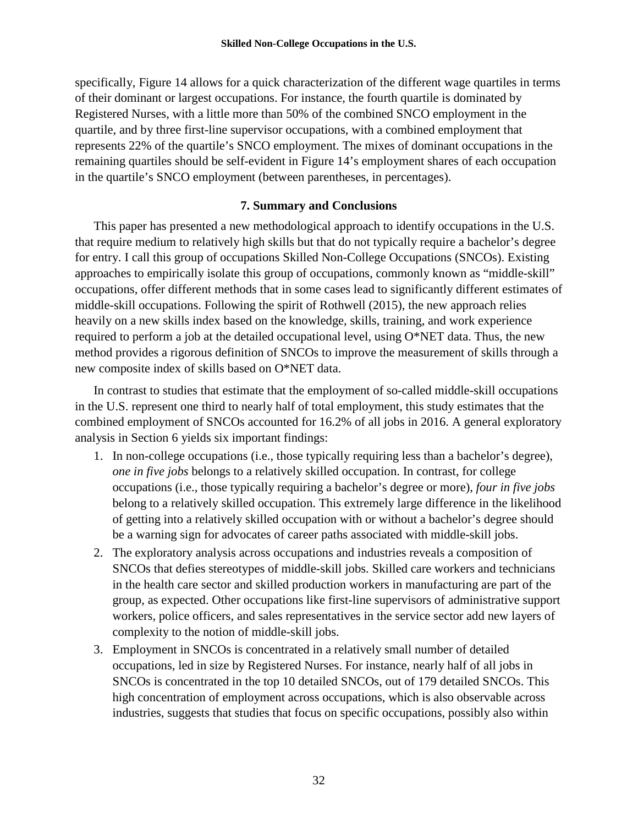specifically, Figure 14 allows for a quick characterization of the different wage quartiles in terms of their dominant or largest occupations. For instance, the fourth quartile is dominated by Registered Nurses, with a little more than 50% of the combined SNCO employment in the quartile, and by three first-line supervisor occupations, with a combined employment that represents 22% of the quartile's SNCO employment. The mixes of dominant occupations in the remaining quartiles should be self-evident in Figure 14's employment shares of each occupation in the quartile's SNCO employment (between parentheses, in percentages).

# **7. Summary and Conclusions**

This paper has presented a new methodological approach to identify occupations in the U.S. that require medium to relatively high skills but that do not typically require a bachelor's degree for entry. I call this group of occupations Skilled Non-College Occupations (SNCOs). Existing approaches to empirically isolate this group of occupations, commonly known as "middle-skill" occupations, offer different methods that in some cases lead to significantly different estimates of middle-skill occupations. Following the spirit of Rothwell (2015), the new approach relies heavily on a new skills index based on the knowledge, skills, training, and work experience required to perform a job at the detailed occupational level, using O\*NET data. Thus, the new method provides a rigorous definition of SNCOs to improve the measurement of skills through a new composite index of skills based on O\*NET data.

In contrast to studies that estimate that the employment of so-called middle-skill occupations in the U.S. represent one third to nearly half of total employment, this study estimates that the combined employment of SNCOs accounted for 16.2% of all jobs in 2016. A general exploratory analysis in Section 6 yields six important findings:

- 1. In non-college occupations (i.e., those typically requiring less than a bachelor's degree), *one in five jobs* belongs to a relatively skilled occupation. In contrast, for college occupations (i.e., those typically requiring a bachelor's degree or more), *four in five jobs* belong to a relatively skilled occupation. This extremely large difference in the likelihood of getting into a relatively skilled occupation with or without a bachelor's degree should be a warning sign for advocates of career paths associated with middle-skill jobs.
- 2. The exploratory analysis across occupations and industries reveals a composition of SNCOs that defies stereotypes of middle-skill jobs. Skilled care workers and technicians in the health care sector and skilled production workers in manufacturing are part of the group, as expected. Other occupations like first-line supervisors of administrative support workers, police officers, and sales representatives in the service sector add new layers of complexity to the notion of middle-skill jobs.
- 3. Employment in SNCOs is concentrated in a relatively small number of detailed occupations, led in size by Registered Nurses. For instance, nearly half of all jobs in SNCOs is concentrated in the top 10 detailed SNCOs, out of 179 detailed SNCOs. This high concentration of employment across occupations, which is also observable across industries, suggests that studies that focus on specific occupations, possibly also within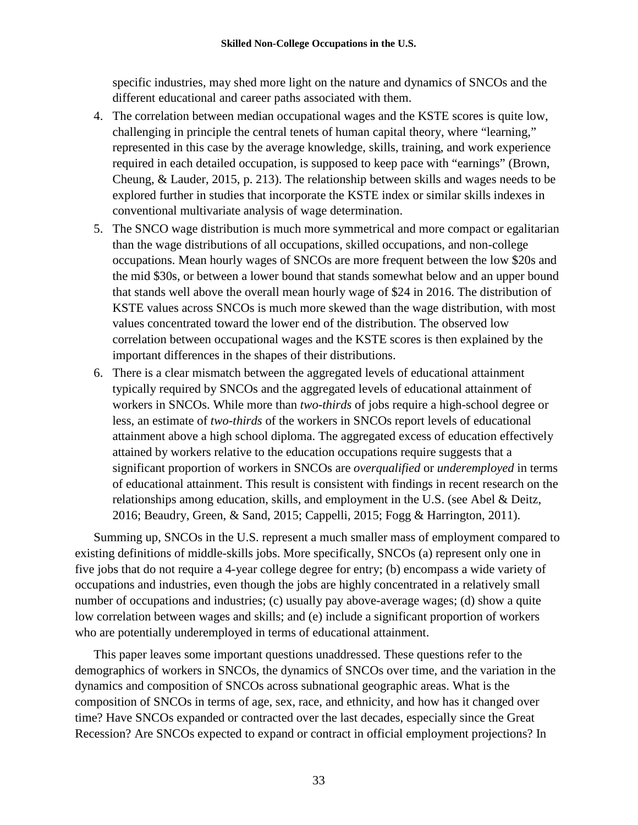specific industries, may shed more light on the nature and dynamics of SNCOs and the different educational and career paths associated with them.

- 4. The correlation between median occupational wages and the KSTE scores is quite low, challenging in principle the central tenets of human capital theory, where "learning," represented in this case by the average knowledge, skills, training, and work experience required in each detailed occupation, is supposed to keep pace with "earnings" (Brown, Cheung, & Lauder, 2015, p. 213). The relationship between skills and wages needs to be explored further in studies that incorporate the KSTE index or similar skills indexes in conventional multivariate analysis of wage determination.
- 5. The SNCO wage distribution is much more symmetrical and more compact or egalitarian than the wage distributions of all occupations, skilled occupations, and non-college occupations. Mean hourly wages of SNCOs are more frequent between the low \$20s and the mid \$30s, or between a lower bound that stands somewhat below and an upper bound that stands well above the overall mean hourly wage of \$24 in 2016. The distribution of KSTE values across SNCOs is much more skewed than the wage distribution, with most values concentrated toward the lower end of the distribution. The observed low correlation between occupational wages and the KSTE scores is then explained by the important differences in the shapes of their distributions.
- 6. There is a clear mismatch between the aggregated levels of educational attainment typically required by SNCOs and the aggregated levels of educational attainment of workers in SNCOs. While more than *two-thirds* of jobs require a high-school degree or less, an estimate of *two-thirds* of the workers in SNCOs report levels of educational attainment above a high school diploma. The aggregated excess of education effectively attained by workers relative to the education occupations require suggests that a significant proportion of workers in SNCOs are *overqualified* or *underemployed* in terms of educational attainment. This result is consistent with findings in recent research on the relationships among education, skills, and employment in the U.S. (see Abel & Deitz, 2016; Beaudry, Green, & Sand, 2015; Cappelli, 2015; Fogg & Harrington, 2011).

Summing up, SNCOs in the U.S. represent a much smaller mass of employment compared to existing definitions of middle-skills jobs. More specifically, SNCOs (a) represent only one in five jobs that do not require a 4-year college degree for entry; (b) encompass a wide variety of occupations and industries, even though the jobs are highly concentrated in a relatively small number of occupations and industries; (c) usually pay above-average wages; (d) show a quite low correlation between wages and skills; and (e) include a significant proportion of workers who are potentially underemployed in terms of educational attainment.

This paper leaves some important questions unaddressed. These questions refer to the demographics of workers in SNCOs, the dynamics of SNCOs over time, and the variation in the dynamics and composition of SNCOs across subnational geographic areas. What is the composition of SNCOs in terms of age, sex, race, and ethnicity, and how has it changed over time? Have SNCOs expanded or contracted over the last decades, especially since the Great Recession? Are SNCOs expected to expand or contract in official employment projections? In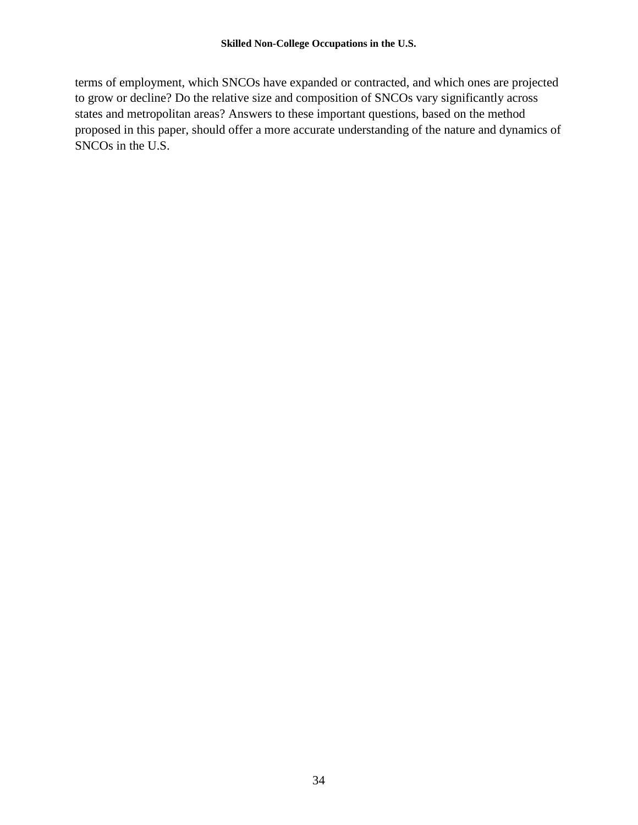terms of employment, which SNCOs have expanded or contracted, and which ones are projected to grow or decline? Do the relative size and composition of SNCOs vary significantly across states and metropolitan areas? Answers to these important questions, based on the method proposed in this paper, should offer a more accurate understanding of the nature and dynamics of SNCOs in the U.S.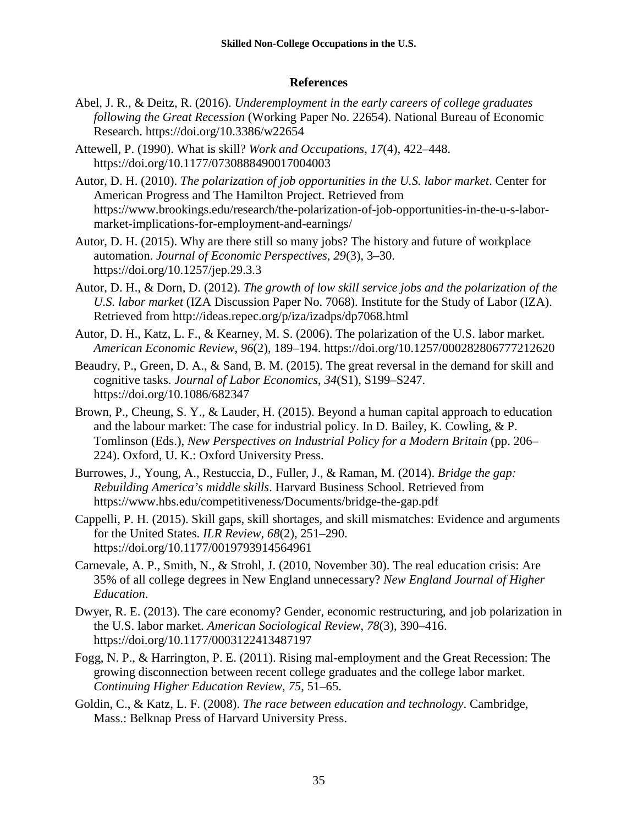# **References**

- Abel, J. R., & Deitz, R. (2016). *Underemployment in the early careers of college graduates following the Great Recession* (Working Paper No. 22654). National Bureau of Economic Research. https://doi.org/10.3386/w22654
- Attewell, P. (1990). What is skill? *Work and Occupations*, *17*(4), 422–448. https://doi.org/10.1177/0730888490017004003
- Autor, D. H. (2010). *The polarization of job opportunities in the U.S. labor market*. Center for American Progress and The Hamilton Project. Retrieved from https://www.brookings.edu/research/the-polarization-of-job-opportunities-in-the-u-s-labormarket-implications-for-employment-and-earnings/
- Autor, D. H. (2015). Why are there still so many jobs? The history and future of workplace automation. *Journal of Economic Perspectives*, *29*(3), 3–30. https://doi.org/10.1257/jep.29.3.3
- Autor, D. H., & Dorn, D. (2012). *The growth of low skill service jobs and the polarization of the U.S. labor market* (IZA Discussion Paper No. 7068). Institute for the Study of Labor (IZA). Retrieved from http://ideas.repec.org/p/iza/izadps/dp7068.html
- Autor, D. H., Katz, L. F., & Kearney, M. S. (2006). The polarization of the U.S. labor market. *American Economic Review*, *96*(2), 189–194. https://doi.org/10.1257/000282806777212620
- Beaudry, P., Green, D. A., & Sand, B. M. (2015). The great reversal in the demand for skill and cognitive tasks. *Journal of Labor Economics*, *34*(S1), S199–S247. https://doi.org/10.1086/682347
- Brown, P., Cheung, S. Y., & Lauder, H. (2015). Beyond a human capital approach to education and the labour market: The case for industrial policy. In D. Bailey, K. Cowling, & P. Tomlinson (Eds.), *New Perspectives on Industrial Policy for a Modern Britain* (pp. 206– 224). Oxford, U. K.: Oxford University Press.
- Burrowes, J., Young, A., Restuccia, D., Fuller, J., & Raman, M. (2014). *Bridge the gap: Rebuilding America's middle skills*. Harvard Business School. Retrieved from https://www.hbs.edu/competitiveness/Documents/bridge-the-gap.pdf
- Cappelli, P. H. (2015). Skill gaps, skill shortages, and skill mismatches: Evidence and arguments for the United States. *ILR Review*, *68*(2), 251–290. https://doi.org/10.1177/0019793914564961
- Carnevale, A. P., Smith, N., & Strohl, J. (2010, November 30). The real education crisis: Are 35% of all college degrees in New England unnecessary? *New England Journal of Higher Education*.
- Dwyer, R. E. (2013). The care economy? Gender, economic restructuring, and job polarization in the U.S. labor market. *American Sociological Review*, *78*(3), 390–416. https://doi.org/10.1177/0003122413487197
- Fogg, N. P., & Harrington, P. E. (2011). Rising mal-employment and the Great Recession: The growing disconnection between recent college graduates and the college labor market. *Continuing Higher Education Review*, *75*, 51–65.
- Goldin, C., & Katz, L. F. (2008). *The race between education and technology*. Cambridge, Mass.: Belknap Press of Harvard University Press.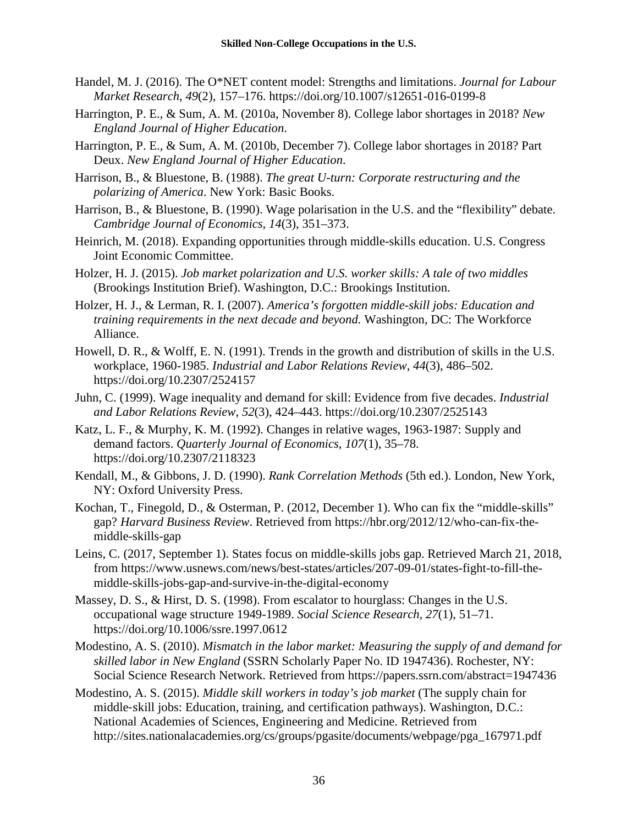- Handel, M. J. (2016). The O\*NET content model: Strengths and limitations. *Journal for Labour Market Research*, *49*(2), 157–176. https://doi.org/10.1007/s12651-016-0199-8
- Harrington, P. E., & Sum, A. M. (2010a, November 8). College labor shortages in 2018? *New England Journal of Higher Education*.
- Harrington, P. E., & Sum, A. M. (2010b, December 7). College labor shortages in 2018? Part Deux. *New England Journal of Higher Education*.
- Harrison, B., & Bluestone, B. (1988). *The great U-turn: Corporate restructuring and the polarizing of America*. New York: Basic Books.
- Harrison, B., & Bluestone, B. (1990). Wage polarisation in the U.S. and the "flexibility" debate. *Cambridge Journal of Economics*, *14*(3), 351–373.
- Heinrich, M. (2018). Expanding opportunities through middle-skills education. U.S. Congress Joint Economic Committee.
- Holzer, H. J. (2015). *Job market polarization and U.S. worker skills: A tale of two middles* (Brookings Institution Brief). Washington, D.C.: Brookings Institution.
- Holzer, H. J., & Lerman, R. I. (2007). *America's forgotten middle-skill jobs: Education and training requirements in the next decade and beyond.* Washington, DC: The Workforce Alliance.
- Howell, D. R., & Wolff, E. N. (1991). Trends in the growth and distribution of skills in the U.S. workplace, 1960-1985. *Industrial and Labor Relations Review*, *44*(3), 486–502. https://doi.org/10.2307/2524157
- Juhn, C. (1999). Wage inequality and demand for skill: Evidence from five decades. *Industrial and Labor Relations Review*, *52*(3), 424–443. https://doi.org/10.2307/2525143
- Katz, L. F., & Murphy, K. M. (1992). Changes in relative wages, 1963-1987: Supply and demand factors. *Quarterly Journal of Economics*, *107*(1), 35–78. https://doi.org/10.2307/2118323
- Kendall, M., & Gibbons, J. D. (1990). *Rank Correlation Methods* (5th ed.). London, New York, NY: Oxford University Press.
- Kochan, T., Finegold, D., & Osterman, P. (2012, December 1). Who can fix the "middle-skills" gap? *Harvard Business Review*. Retrieved from https://hbr.org/2012/12/who-can-fix-themiddle-skills-gap
- Leins, C. (2017, September 1). States focus on middle-skills jobs gap. Retrieved March 21, 2018, from https://www.usnews.com/news/best-states/articles/207-09-01/states-fight-to-fill-themiddle-skills-jobs-gap-and-survive-in-the-digital-economy
- Massey, D. S., & Hirst, D. S. (1998). From escalator to hourglass: Changes in the U.S. occupational wage structure 1949-1989. *Social Science Research*, *27*(1), 51–71. https://doi.org/10.1006/ssre.1997.0612
- Modestino, A. S. (2010). *Mismatch in the labor market: Measuring the supply of and demand for skilled labor in New England* (SSRN Scholarly Paper No. ID 1947436). Rochester, NY: Social Science Research Network. Retrieved from https://papers.ssrn.com/abstract=1947436
- Modestino, A. S. (2015). *Middle skill workers in today's job market* (The supply chain for middle-skill jobs: Education, training, and certification pathways). Washington, D.C.: National Academies of Sciences, Engineering and Medicine. Retrieved from http://sites.nationalacademies.org/cs/groups/pgasite/documents/webpage/pga\_167971.pdf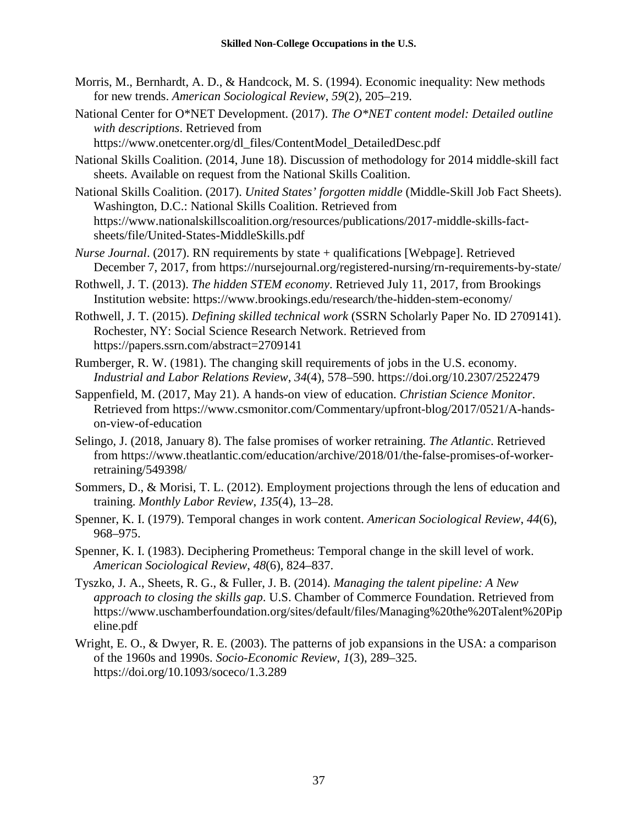- Morris, M., Bernhardt, A. D., & Handcock, M. S. (1994). Economic inequality: New methods for new trends. *American Sociological Review*, *59*(2), 205–219.
- National Center for O\*NET Development. (2017). *The O\*NET content model: Detailed outline with descriptions*. Retrieved from https://www.onetcenter.org/dl\_files/ContentModel\_DetailedDesc.pdf

National Skills Coalition. (2014, June 18). Discussion of methodology for 2014 middle-skill fact sheets. Available on request from the National Skills Coalition.

- National Skills Coalition. (2017). *United States' forgotten middle* (Middle-Skill Job Fact Sheets). Washington, D.C.: National Skills Coalition. Retrieved from https://www.nationalskillscoalition.org/resources/publications/2017-middle-skills-factsheets/file/United-States-MiddleSkills.pdf
- *Nurse Journal*. (2017). RN requirements by state + qualifications [Webpage]. Retrieved December 7, 2017, from https://nursejournal.org/registered-nursing/rn-requirements-by-state/
- Rothwell, J. T. (2013). *The hidden STEM economy*. Retrieved July 11, 2017, from Brookings Institution website: https://www.brookings.edu/research/the-hidden-stem-economy/
- Rothwell, J. T. (2015). *Defining skilled technical work* (SSRN Scholarly Paper No. ID 2709141). Rochester, NY: Social Science Research Network. Retrieved from https://papers.ssrn.com/abstract=2709141
- Rumberger, R. W. (1981). The changing skill requirements of jobs in the U.S. economy. *Industrial and Labor Relations Review*, *34*(4), 578–590. https://doi.org/10.2307/2522479
- Sappenfield, M. (2017, May 21). A hands-on view of education. *Christian Science Monitor*. Retrieved from https://www.csmonitor.com/Commentary/upfront-blog/2017/0521/A-handson-view-of-education
- Selingo, J. (2018, January 8). The false promises of worker retraining. *The Atlantic*. Retrieved from https://www.theatlantic.com/education/archive/2018/01/the-false-promises-of-workerretraining/549398/
- Sommers, D., & Morisi, T. L. (2012). Employment projections through the lens of education and training. *Monthly Labor Review*, *135*(4), 13–28.
- Spenner, K. I. (1979). Temporal changes in work content. *American Sociological Review*, *44*(6), 968–975.
- Spenner, K. I. (1983). Deciphering Prometheus: Temporal change in the skill level of work. *American Sociological Review*, *48*(6), 824–837.
- Tyszko, J. A., Sheets, R. G., & Fuller, J. B. (2014). *Managing the talent pipeline: A New approach to closing the skills gap*. U.S. Chamber of Commerce Foundation. Retrieved from https://www.uschamberfoundation.org/sites/default/files/Managing%20the%20Talent%20Pip eline.pdf
- Wright, E. O., & Dwyer, R. E. (2003). The patterns of job expansions in the USA: a comparison of the 1960s and 1990s. *Socio-Economic Review*, *1*(3), 289–325. https://doi.org/10.1093/soceco/1.3.289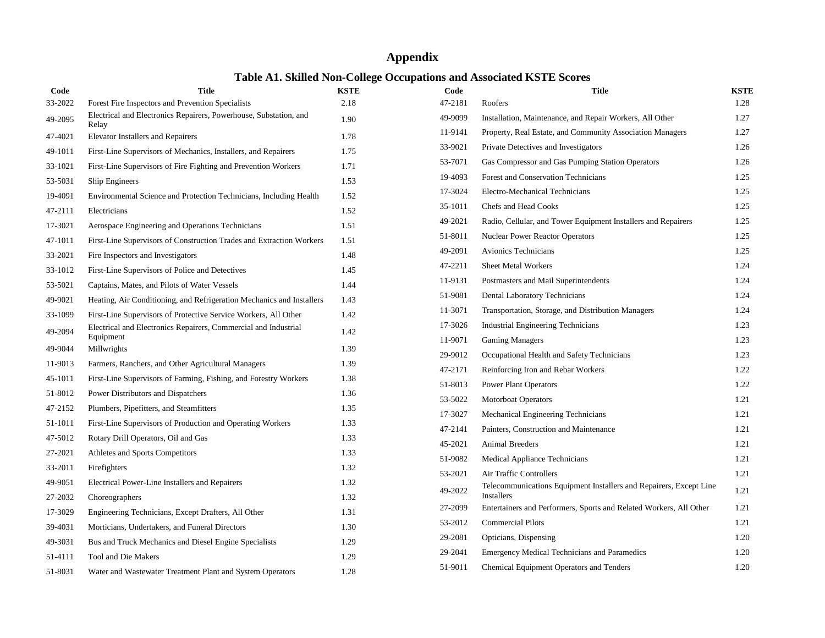# **Appendix**

# **Table A1. Skilled Non-College Occupations and Associated KSTE Scores**

| Code    | <b>Title</b>                                                                 | <b>KSTE</b> |
|---------|------------------------------------------------------------------------------|-------------|
| 33-2022 | Forest Fire Inspectors and Prevention Specialists                            | 2.18        |
| 49-2095 | Electrical and Electronics Repairers, Powerhouse, Substation, and<br>Relay   | 1.90        |
| 47-4021 | <b>Elevator Installers and Repairers</b>                                     | 1.78        |
| 49-1011 | First-Line Supervisors of Mechanics, Installers, and Repairers               | 1.75        |
| 33-1021 | First-Line Supervisors of Fire Fighting and Prevention Workers               | 1.71        |
| 53-5031 | Ship Engineers                                                               | 1.53        |
| 19-4091 | Environmental Science and Protection Technicians, Including Health           | 1.52        |
| 47-2111 | Electricians                                                                 | 1.52        |
| 17-3021 | Aerospace Engineering and Operations Technicians                             | 1.51        |
| 47-1011 | First-Line Supervisors of Construction Trades and Extraction Workers         | 1.51        |
| 33-2021 | Fire Inspectors and Investigators                                            | 1.48        |
| 33-1012 | First-Line Supervisors of Police and Detectives                              | 1.45        |
| 53-5021 | Captains, Mates, and Pilots of Water Vessels                                 | 1.44        |
| 49-9021 | Heating, Air Conditioning, and Refrigeration Mechanics and Installers        | 1.43        |
| 33-1099 | First-Line Supervisors of Protective Service Workers, All Other              | 1.42        |
| 49-2094 | Electrical and Electronics Repairers, Commercial and Industrial<br>Equipment | 1.42        |
| 49-9044 | Millwrights                                                                  | 1.39        |
| 11-9013 | Farmers, Ranchers, and Other Agricultural Managers                           | 1.39        |
| 45-1011 | First-Line Supervisors of Farming, Fishing, and Forestry Workers             | 1.38        |
| 51-8012 | Power Distributors and Dispatchers                                           | 1.36        |
| 47-2152 | Plumbers, Pipefitters, and Steamfitters                                      | 1.35        |
| 51-1011 | First-Line Supervisors of Production and Operating Workers                   | 1.33        |
| 47-5012 | Rotary Drill Operators, Oil and Gas                                          | 1.33        |
| 27-2021 | Athletes and Sports Competitors                                              | 1.33        |
| 33-2011 | Firefighters                                                                 | 1.32        |
| 49-9051 | Electrical Power-Line Installers and Repairers                               | 1.32        |
| 27-2032 | Choreographers                                                               | 1.32        |
| 17-3029 | Engineering Technicians, Except Drafters, All Other                          | 1.31        |
| 39-4031 | Morticians, Undertakers, and Funeral Directors                               | 1.30        |
| 49-3031 | Bus and Truck Mechanics and Diesel Engine Specialists                        | 1.29        |
| 51-4111 | Tool and Die Makers                                                          | 1.29        |
| 51-8031 | Water and Wastewater Treatment Plant and System Operators                    | 1.28        |

| Code    | Title                                                                                   | <b>KSTE</b> |
|---------|-----------------------------------------------------------------------------------------|-------------|
| 47-2181 | Roofers                                                                                 | 1.28        |
| 49-9099 | Installation, Maintenance, and Repair Workers, All Other                                | 1.27        |
| 11-9141 | Property, Real Estate, and Community Association Managers                               | 1.27        |
| 33-9021 | Private Detectives and Investigators                                                    | 1.26        |
| 53-7071 | Gas Compressor and Gas Pumping Station Operators                                        | 1.26        |
| 19-4093 | Forest and Conservation Technicians                                                     | 1.25        |
| 17-3024 | Electro-Mechanical Technicians                                                          | 1.25        |
| 35-1011 | Chefs and Head Cooks                                                                    | 1.25        |
| 49-2021 | Radio, Cellular, and Tower Equipment Installers and Repairers                           | 1.25        |
| 51-8011 | <b>Nuclear Power Reactor Operators</b>                                                  | 1.25        |
| 49-2091 | <b>Avionics Technicians</b>                                                             | 1.25        |
| 47-2211 | <b>Sheet Metal Workers</b>                                                              | 1.24        |
| 11-9131 | Postmasters and Mail Superintendents                                                    | 1.24        |
| 51-9081 | Dental Laboratory Technicians                                                           | 1.24        |
| 11-3071 | Transportation, Storage, and Distribution Managers                                      | 1.24        |
| 17-3026 | <b>Industrial Engineering Technicians</b>                                               | 1.23        |
| 11-9071 | <b>Gaming Managers</b>                                                                  | 1.23        |
| 29-9012 | Occupational Health and Safety Technicians                                              | 1.23        |
| 47-2171 | Reinforcing Iron and Rebar Workers                                                      | 1.22        |
| 51-8013 | <b>Power Plant Operators</b>                                                            | 1.22        |
| 53-5022 | <b>Motorboat Operators</b>                                                              | 1.21        |
| 17-3027 | Mechanical Engineering Technicians                                                      | 1.21        |
| 47-2141 | Painters, Construction and Maintenance                                                  | 1.21        |
| 45-2021 | <b>Animal Breeders</b>                                                                  | 1.21        |
| 51-9082 | Medical Appliance Technicians                                                           | 1.21        |
| 53-2021 | Air Traffic Controllers                                                                 | 1.21        |
| 49-2022 | Telecommunications Equipment Installers and Repairers, Except Line<br><b>Installers</b> | 1.21        |
| 27-2099 | Entertainers and Performers, Sports and Related Workers, All Other                      | 1.21        |
| 53-2012 | <b>Commercial Pilots</b>                                                                | 1.21        |
| 29-2081 | Opticians, Dispensing                                                                   | 1.20        |
| 29-2041 | <b>Emergency Medical Technicians and Paramedics</b>                                     | 1.20        |
| 51-9011 | <b>Chemical Equipment Operators and Tenders</b>                                         | 1.20        |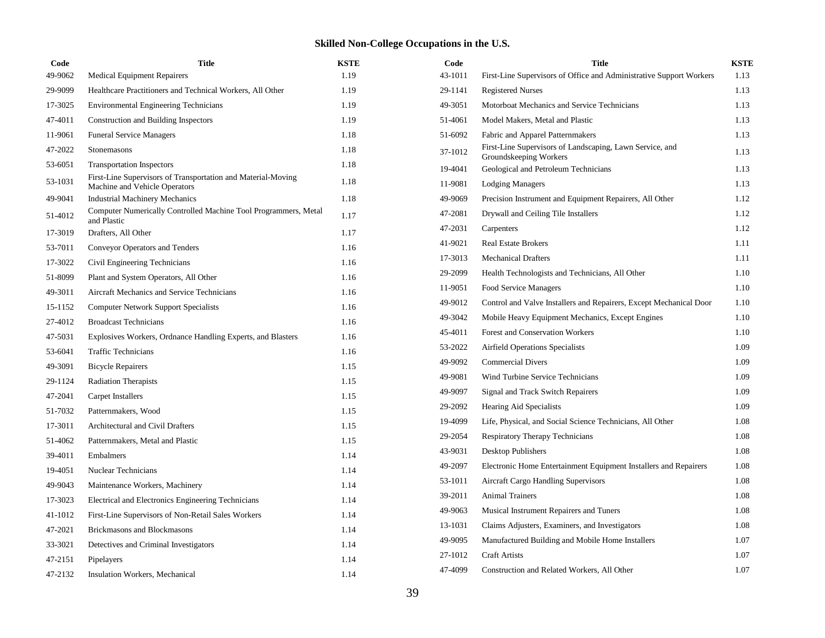| Code    | <b>Title</b>                                                                                  | <b>KSTE</b> |
|---------|-----------------------------------------------------------------------------------------------|-------------|
| 49-9062 | <b>Medical Equipment Repairers</b>                                                            | 1.19        |
| 29-9099 | Healthcare Practitioners and Technical Workers, All Other                                     | 1.19        |
| 17-3025 | <b>Environmental Engineering Technicians</b>                                                  | 1.19        |
| 47-4011 | Construction and Building Inspectors                                                          | 1.19        |
| 11-9061 | <b>Funeral Service Managers</b>                                                               | 1.18        |
| 47-2022 | Stonemasons                                                                                   | 1.18        |
| 53-6051 | <b>Transportation Inspectors</b>                                                              | 1.18        |
| 53-1031 | First-Line Supervisors of Transportation and Material-Moving<br>Machine and Vehicle Operators | 1.18        |
| 49-9041 | <b>Industrial Machinery Mechanics</b>                                                         | 1.18        |
| 51-4012 | Computer Numerically Controlled Machine Tool Programmers, Metal<br>and Plastic                | 1.17        |
| 17-3019 | Drafters, All Other                                                                           | 1.17        |
| 53-7011 | <b>Conveyor Operators and Tenders</b>                                                         | 1.16        |
| 17-3022 | Civil Engineering Technicians                                                                 | 1.16        |
| 51-8099 | Plant and System Operators, All Other                                                         | 1.16        |
| 49-3011 | Aircraft Mechanics and Service Technicians                                                    | 1.16        |
| 15-1152 | <b>Computer Network Support Specialists</b>                                                   | 1.16        |
| 27-4012 | <b>Broadcast Technicians</b>                                                                  | 1.16        |
| 47-5031 | Explosives Workers, Ordnance Handling Experts, and Blasters                                   | 1.16        |
| 53-6041 | <b>Traffic Technicians</b>                                                                    | 1.16        |
| 49-3091 | <b>Bicycle Repairers</b>                                                                      | 1.15        |
| 29-1124 | <b>Radiation Therapists</b>                                                                   | 1.15        |
| 47-2041 | Carpet Installers                                                                             | 1.15        |
| 51-7032 | Patternmakers, Wood                                                                           | 1.15        |
| 17-3011 | <b>Architectural and Civil Drafters</b>                                                       | 1.15        |
| 51-4062 | Patternmakers, Metal and Plastic                                                              | 1.15        |
| 39-4011 | Embalmers                                                                                     | 1.14        |
| 19-4051 | Nuclear Technicians                                                                           | 1.14        |
| 49-9043 | Maintenance Workers, Machinery                                                                | 1.14        |
| 17-3023 | Electrical and Electronics Engineering Technicians                                            | 1.14        |
| 41-1012 | First-Line Supervisors of Non-Retail Sales Workers                                            | 1.14        |
| 47-2021 | Brickmasons and Blockmasons                                                                   | 1.14        |
| 33-3021 | Detectives and Criminal Investigators                                                         | 1.14        |
| 47-2151 | Pipelayers                                                                                    | 1.14        |
| 47-2132 | <b>Insulation Workers, Mechanical</b>                                                         | 1.14        |

| Code    | Title                                                                              | <b>KSTE</b> |
|---------|------------------------------------------------------------------------------------|-------------|
| 43-1011 | First-Line Supervisors of Office and Administrative Support Workers                | 1.13        |
| 29-1141 | <b>Registered Nurses</b>                                                           | 1.13        |
| 49-3051 | Motorboat Mechanics and Service Technicians                                        | 1.13        |
| 51-4061 | Model Makers, Metal and Plastic                                                    | 1.13        |
| 51-6092 | Fabric and Apparel Patternmakers                                                   | 1.13        |
| 37-1012 | First-Line Supervisors of Landscaping, Lawn Service, and<br>Groundskeeping Workers | 1.13        |
| 19-4041 | Geological and Petroleum Technicians                                               | 1.13        |
| 11-9081 | <b>Lodging Managers</b>                                                            | 1.13        |
| 49-9069 | Precision Instrument and Equipment Repairers, All Other                            | 1.12        |
| 47-2081 | Drywall and Ceiling Tile Installers                                                | 1.12        |
| 47-2031 | Carpenters                                                                         | 1.12        |
| 41-9021 | <b>Real Estate Brokers</b>                                                         | 1.11        |
| 17-3013 | <b>Mechanical Drafters</b>                                                         | 1.11        |
| 29-2099 | Health Technologists and Technicians, All Other                                    | 1.10        |
| 11-9051 | Food Service Managers                                                              | 1.10        |
| 49-9012 | Control and Valve Installers and Repairers, Except Mechanical Door                 | 1.10        |
| 49-3042 | Mobile Heavy Equipment Mechanics, Except Engines                                   | 1.10        |
| 45-4011 | <b>Forest and Conservation Workers</b>                                             | 1.10        |
| 53-2022 | Airfield Operations Specialists                                                    | 1.09        |
| 49-9092 | <b>Commercial Divers</b>                                                           | 1.09        |
| 49-9081 | Wind Turbine Service Technicians                                                   | 1.09        |
| 49-9097 | <b>Signal and Track Switch Repairers</b>                                           | 1.09        |
| 29-2092 | Hearing Aid Specialists                                                            | 1.09        |
| 19-4099 | Life, Physical, and Social Science Technicians, All Other                          | 1.08        |
| 29-2054 | Respiratory Therapy Technicians                                                    | 1.08        |
| 43-9031 | Desktop Publishers                                                                 | 1.08        |
| 49-2097 | Electronic Home Entertainment Equipment Installers and Repairers                   | 1.08        |
| 53-1011 | Aircraft Cargo Handling Supervisors                                                | 1.08        |
| 39-2011 | <b>Animal Trainers</b>                                                             | 1.08        |
| 49-9063 | Musical Instrument Repairers and Tuners                                            | 1.08        |
| 13-1031 | Claims Adjusters, Examiners, and Investigators                                     | 1.08        |
| 49-9095 | Manufactured Building and Mobile Home Installers                                   | 1.07        |
| 27-1012 | <b>Craft Artists</b>                                                               | 1.07        |
| 47-4099 | Construction and Related Workers, All Other                                        | 1.07        |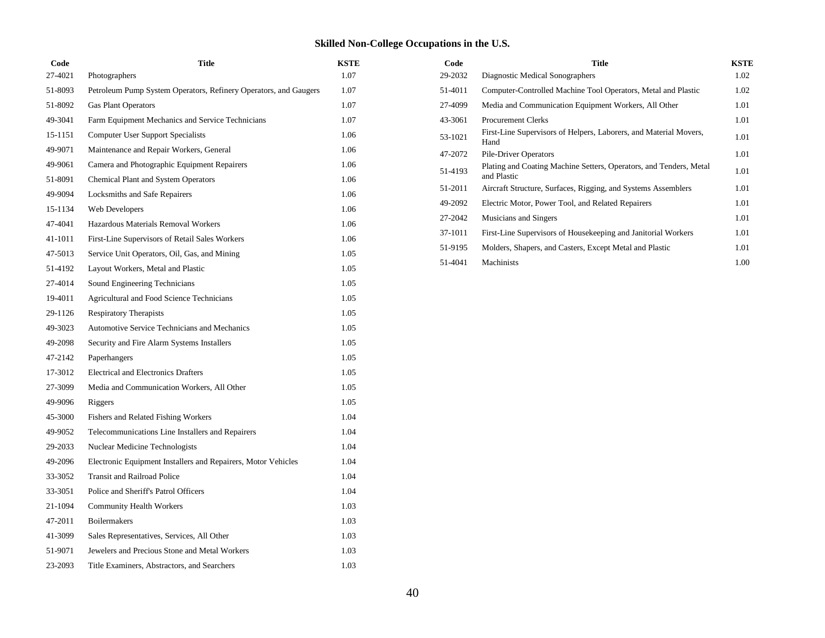| Code    | <b>Title</b>                                                     | <b>KSTE</b> |
|---------|------------------------------------------------------------------|-------------|
| 27-4021 | Photographers                                                    | 1.07        |
| 51-8093 | Petroleum Pump System Operators, Refinery Operators, and Gaugers | 1.07        |
| 51-8092 | <b>Gas Plant Operators</b>                                       | 1.07        |
| 49-3041 | Farm Equipment Mechanics and Service Technicians                 | 1.07        |
| 15-1151 | <b>Computer User Support Specialists</b>                         | 1.06        |
| 49-9071 | Maintenance and Repair Workers, General                          | 1.06        |
| 49-9061 | Camera and Photographic Equipment Repairers                      | 1.06        |
| 51-8091 | <b>Chemical Plant and System Operators</b>                       | 1.06        |
| 49-9094 | Locksmiths and Safe Repairers                                    | 1.06        |
| 15-1134 | Web Developers                                                   | 1.06        |
| 47-4041 | Hazardous Materials Removal Workers                              | 1.06        |
| 41-1011 | First-Line Supervisors of Retail Sales Workers                   | 1.06        |
| 47-5013 | Service Unit Operators, Oil, Gas, and Mining                     | 1.05        |
| 51-4192 | Layout Workers, Metal and Plastic                                | 1.05        |
| 27-4014 | Sound Engineering Technicians                                    | 1.05        |
| 19-4011 | Agricultural and Food Science Technicians                        | 1.05        |
| 29-1126 | <b>Respiratory Therapists</b>                                    | 1.05        |
| 49-3023 | Automotive Service Technicians and Mechanics                     | 1.05        |
| 49-2098 | Security and Fire Alarm Systems Installers                       | 1.05        |
| 47-2142 | Paperhangers                                                     | 1.05        |
| 17-3012 | Electrical and Electronics Drafters                              | 1.05        |
| 27-3099 | Media and Communication Workers, All Other                       | 1.05        |
| 49-9096 | Riggers                                                          | 1.05        |
| 45-3000 | Fishers and Related Fishing Workers                              | 1.04        |
| 49-9052 | Telecommunications Line Installers and Repairers                 | 1.04        |
| 29-2033 | Nuclear Medicine Technologists                                   | 1.04        |
| 49-2096 | Electronic Equipment Installers and Repairers, Motor Vehicles    | 1.04        |
| 33-3052 | <b>Transit and Railroad Police</b>                               | 1.04        |
| 33-3051 | Police and Sheriff's Patrol Officers                             | 1.04        |
| 21-1094 | <b>Community Health Workers</b>                                  | 1.03        |
| 47-2011 | <b>Boilermakers</b>                                              | 1.03        |
| 41-3099 | Sales Representatives, Services, All Other                       | 1.03        |
| 51-9071 | Jewelers and Precious Stone and Metal Workers                    | 1.03        |
| 23-2093 | Title Examiners, Abstractors, and Searchers                      | 1.03        |

| Code    | <b>Title</b>                                                                      | <b>KSTE</b> |
|---------|-----------------------------------------------------------------------------------|-------------|
| 29-2032 | Diagnostic Medical Sonographers                                                   | 1.02        |
| 51-4011 | Computer-Controlled Machine Tool Operators, Metal and Plastic                     | 1.02        |
| 27-4099 | Media and Communication Equipment Workers, All Other                              | 1.01        |
| 43-3061 | <b>Procurement Clerks</b>                                                         | 1.01        |
| 53-1021 | First-Line Supervisors of Helpers, Laborers, and Material Movers,<br>Hand         | 1.01        |
| 47-2072 | Pile-Driver Operators                                                             | 1.01        |
| 51-4193 | Plating and Coating Machine Setters, Operators, and Tenders, Metal<br>and Plastic | 1.01        |
| 51-2011 | Aircraft Structure, Surfaces, Rigging, and Systems Assemblers                     | 1.01        |
| 49-2092 | Electric Motor, Power Tool, and Related Repairers                                 | 1.01        |
| 27-2042 | Musicians and Singers                                                             | 1.01        |
| 37-1011 | First-Line Supervisors of Housekeeping and Janitorial Workers                     | 1.01        |
| 51-9195 | Molders, Shapers, and Casters, Except Metal and Plastic                           | 1.01        |
| 51-4041 | Machinists                                                                        | 1.00        |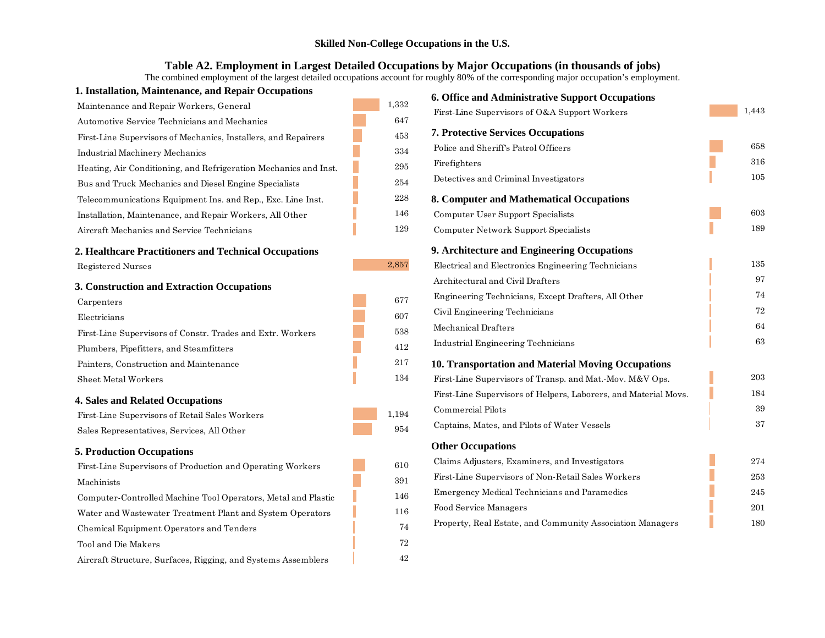#### **Table A2. Employment in Largest Detailed Occupations by Major Occupations (in thousands of jobs)**

The combined employment of the largest detailed occupations account for roughly 80% of the corresponding major occupation's employment.

# **1. Installation, Maintenance, and Repair Occupations 2. Healthcare Practitioners and Technical Occupations 3. Construction and Extraction Occupations** Maintenance and Repair Workers, General 1,332 Automotive Service Technicians and Mechanics 647 First-Line Supervisors of Mechanics, Installers, and Repairers 453 Industrial Machinery Mechanics 334 Heating, Air Conditioning, and Refrigeration Mechanics and Inst. 295 Bus and Truck Mechanics and Diesel Engine Specialists 254 Telecommunications Equipment Ins. and Rep., Exc. Line Inst. 228 Installation, Maintenance, and Repair Workers, All Other 146 Aircraft Mechanics and Service Technicians 129 Registered Nurses 2,857 Carpenters 677 Electricians 607 First-Line Supervisors of Constr. Trades and Extr. Workers 538 Plumbers, Pipefitters, and Steamfitters 412 Painters, Construction and Maintenance 217 Sheet Metal Workers 134

#### **4. Sales and Related Occupations**

First-Line Supervisors of Retail Sales Workers 1,194 Sales Representatives, Services, All Other 954

#### **5. Production Occupations**

| First-Line Supervisors of Production and Operating Workers    | 610 |
|---------------------------------------------------------------|-----|
| Machinists                                                    | 391 |
| Computer-Controlled Machine Tool Operators, Metal and Plastic | 146 |
| Water and Wastewater Treatment Plant and System Operators     | 116 |
| Chemical Equipment Operators and Tenders                      | 74  |
| Tool and Die Makers                                           | 72  |

Aircraft Structure, Surfaces, Rigging, and Systems Assemblers 42

| <b>6. Office and Administrative Support Occupations</b>         |       |
|-----------------------------------------------------------------|-------|
| First-Line Supervisors of O&A Support Workers                   | 1,443 |
| <b>7. Protective Services Occupations</b>                       |       |
| Police and Sheriff's Patrol Officers                            | 658   |
| Firefighters                                                    | 316   |
| Detectives and Criminal Investigators                           | 105   |
| 8. Computer and Mathematical Occupations                        |       |
| Computer User Support Specialists                               | 603   |
| Computer Network Support Specialists                            | 189   |
| 9. Architecture and Engineering Occupations                     |       |
| Electrical and Electronics Engineering Technicians              | 135   |
| Architectural and Civil Drafters                                | 97    |
| Engineering Technicians, Except Drafters, All Other             | 74    |
| Civil Engineering Technicians                                   | 72    |
| Mechanical Drafters                                             | 64    |
| Industrial Engineering Technicians                              | 63    |
| 10. Transportation and Material Moving Occupations              |       |
| First-Line Supervisors of Transp. and Mat.-Mov. M&V Ops.        | 203   |
| First-Line Supervisors of Helpers, Laborers, and Material Movs. | 184   |
| Commercial Pilots                                               | 39    |
| Captains, Mates, and Pilots of Water Vessels                    | 37    |
| <b>Other Occupations</b>                                        |       |
| Claims Adjusters, Examiners, and Investigators                  | 274   |
| First-Line Supervisors of Non-Retail Sales Workers              | 253   |
| Emergency Medical Technicians and Paramedics                    | 245   |
| <b>Food Service Managers</b>                                    | 201   |
| Property, Real Estate, and Community Association Managers       | 180   |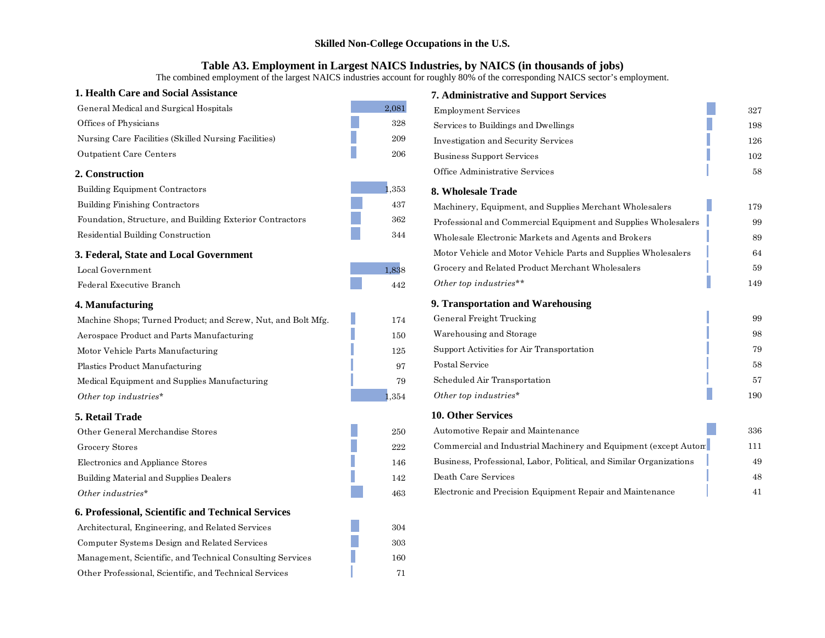#### **Table A3. Employment in Largest NAICS Industries, by NAICS (in thousands of jobs)**

The combined employment of the largest NAICS industries account for roughly 80% of the corresponding NAICS sector's employment.

| 1. Health Care and Social Assistance                         |         | <b>7. Administrative and Support Services</b>                       |     |
|--------------------------------------------------------------|---------|---------------------------------------------------------------------|-----|
| General Medical and Surgical Hospitals                       | 2,081   | <b>Employment Services</b>                                          | 327 |
| Offices of Physicians                                        | 328     | Services to Buildings and Dwellings                                 | 198 |
| Nursing Care Facilities (Skilled Nursing Facilities)         | $\,209$ | <b>Investigation and Security Services</b>                          | 126 |
| Outpatient Care Centers                                      | $206\,$ | <b>Business Support Services</b>                                    | 102 |
| 2. Construction                                              |         | Office Administrative Services                                      | 58  |
| <b>Building Equipment Contractors</b>                        | ,353    | 8. Wholesale Trade                                                  |     |
| Building Finishing Contractors                               | 437     | Machinery, Equipment, and Supplies Merchant Wholesalers             | 179 |
| Foundation, Structure, and Building Exterior Contractors     | 362     | Professional and Commercial Equipment and Supplies Wholesalers      | 99  |
| Residential Building Construction                            | 344     | Wholesale Electronic Markets and Agents and Brokers                 | 89  |
| 3. Federal, State and Local Government                       |         | Motor Vehicle and Motor Vehicle Parts and Supplies Wholesalers      | 64  |
| Local Government                                             | 1,838   | Grocery and Related Product Merchant Wholesalers                    | 59  |
| Federal Executive Branch                                     | 442     | Other top industries**                                              | 149 |
| 4. Manufacturing                                             |         | 9. Transportation and Warehousing                                   |     |
| Machine Shops; Turned Product; and Screw, Nut, and Bolt Mfg. | 174     | General Freight Trucking                                            | 99  |
| Aerospace Product and Parts Manufacturing                    | 150     | Warehousing and Storage                                             | 98  |
| Motor Vehicle Parts Manufacturing                            | 125     | Support Activities for Air Transportation                           | 79  |
| Plastics Product Manufacturing                               | 97      | Postal Service                                                      | 58  |
| Medical Equipment and Supplies Manufacturing                 | 79      | Scheduled Air Transportation                                        | 57  |
| Other top industries*                                        | 354     | Other top industries*                                               | 190 |
| 5. Retail Trade                                              |         | 10. Other Services                                                  |     |
| Other General Merchandise Stores                             | $250\,$ | Automotive Repair and Maintenance                                   | 336 |
| Grocery Stores                                               | 222     | Commercial and Industrial Machinery and Equipment (except Auton)    | 111 |
| Electronics and Appliance Stores                             | 146     | Business, Professional, Labor, Political, and Similar Organizations | 49  |
| Building Material and Supplies Dealers                       | 142     | Death Care Services                                                 | 48  |
| Other industries*                                            | 463     | Electronic and Precision Equipment Repair and Maintenance           | 41  |
| 6. Professional, Scientific and Technical Services           |         |                                                                     |     |
| Architectural, Engineering, and Related Services             | 304     |                                                                     |     |
| Computer Systems Design and Related Services                 | 303     |                                                                     |     |
| Management, Scientific, and Technical Consulting Services    | 160     |                                                                     |     |
| Other Professional, Scientific, and Technical Services       | 71      |                                                                     |     |